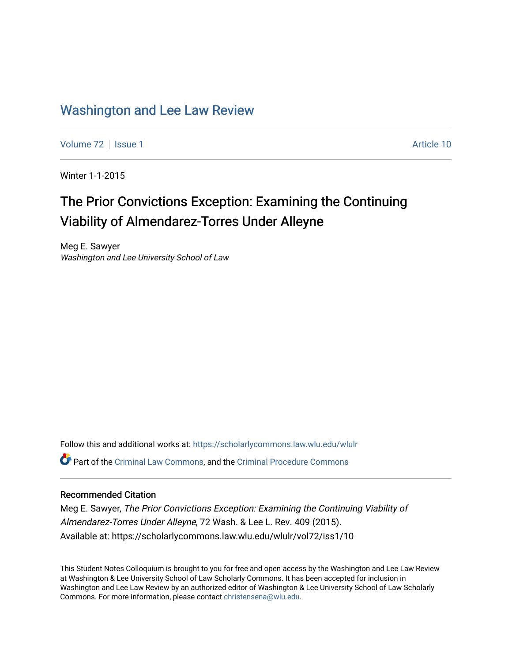# [Washington and Lee Law Review](https://scholarlycommons.law.wlu.edu/wlulr)

[Volume 72](https://scholarlycommons.law.wlu.edu/wlulr/vol72) | [Issue 1](https://scholarlycommons.law.wlu.edu/wlulr/vol72/iss1) Article 10

Winter 1-1-2015

# The Prior Convictions Exception: Examining the Continuing Viability of Almendarez-Torres Under Alleyne

Meg E. Sawyer Washington and Lee University School of Law

Follow this and additional works at: [https://scholarlycommons.law.wlu.edu/wlulr](https://scholarlycommons.law.wlu.edu/wlulr?utm_source=scholarlycommons.law.wlu.edu%2Fwlulr%2Fvol72%2Fiss1%2F10&utm_medium=PDF&utm_campaign=PDFCoverPages)  Part of the [Criminal Law Commons,](http://network.bepress.com/hgg/discipline/912?utm_source=scholarlycommons.law.wlu.edu%2Fwlulr%2Fvol72%2Fiss1%2F10&utm_medium=PDF&utm_campaign=PDFCoverPages) and the [Criminal Procedure Commons](http://network.bepress.com/hgg/discipline/1073?utm_source=scholarlycommons.law.wlu.edu%2Fwlulr%2Fvol72%2Fiss1%2F10&utm_medium=PDF&utm_campaign=PDFCoverPages)

# Recommended Citation

Meg E. Sawyer, The Prior Convictions Exception: Examining the Continuing Viability of Almendarez-Torres Under Alleyne, 72 Wash. & Lee L. Rev. 409 (2015). Available at: https://scholarlycommons.law.wlu.edu/wlulr/vol72/iss1/10

This Student Notes Colloquium is brought to you for free and open access by the Washington and Lee Law Review at Washington & Lee University School of Law Scholarly Commons. It has been accepted for inclusion in Washington and Lee Law Review by an authorized editor of Washington & Lee University School of Law Scholarly Commons. For more information, please contact [christensena@wlu.edu.](mailto:christensena@wlu.edu)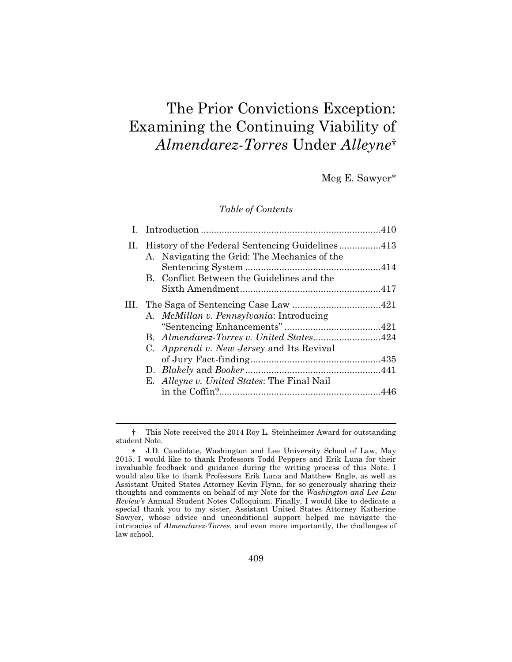# The Prior Convictions Exception: Examining the Continuing Viability of *Almendarez-Torres* Under *Alleyne*†

Meg E. Sawyer

*Table of Contents*

|  | II. History of the Federal Sentencing Guidelines413<br>A. Navigating the Grid: The Mechanics of the |  |
|--|-----------------------------------------------------------------------------------------------------|--|
|  | B. Conflict Between the Guidelines and the                                                          |  |
|  |                                                                                                     |  |
|  |                                                                                                     |  |
|  | A. McMillan v. Pennsylvania: Introducing                                                            |  |
|  |                                                                                                     |  |
|  | C. Apprendi v. New Jersey and Its Revival                                                           |  |
|  |                                                                                                     |  |
|  | E. Alleyne v. United States: The Final Nail                                                         |  |
|  |                                                                                                     |  |

<sup>†</sup> This Note received the 2014 Roy L. Steinheimer Award for outstanding student Note.

J.D. Candidate, Washington and Lee University School of Law, May 2015. I would like to thank Professors Todd Peppers and Erik Luna for their invaluable feedback and guidance during the writing process of this Note. I would also like to thank Professors Erik Luna and Matthew Engle, as well as Assistant United States Attorney Kevin Flynn, for so generously sharing their thoughts and comments on behalf of my Note for the *Washington and Lee Law Review's* Annual Student Notes Colloquium. Finally, I would like to dedicate a special thank you to my sister, Assistant United States Attorney Katherine Sawyer, whose advice and unconditional support helped me navigate the intricacies of *Almendarez-Torres*, and even more importantly, the challenges of law school.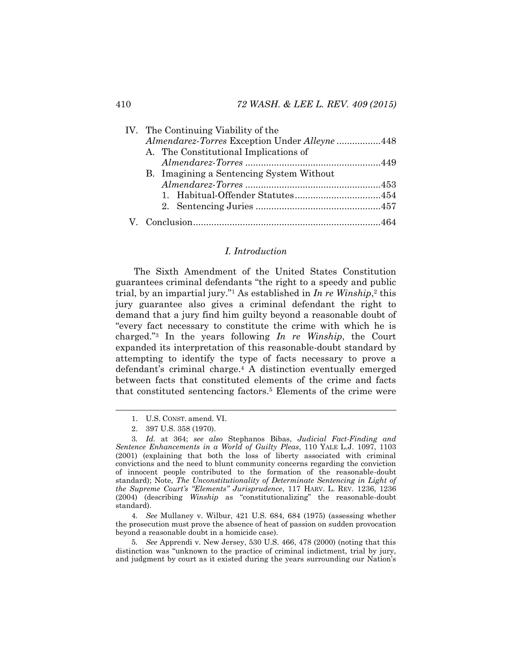|  | IV. The Continuing Viability of the           |  |
|--|-----------------------------------------------|--|
|  | Almendarez-Torres Exception Under Alleyne 448 |  |
|  | A. The Constitutional Implications of         |  |
|  |                                               |  |
|  | B. Imagining a Sentencing System Without      |  |
|  |                                               |  |
|  |                                               |  |
|  |                                               |  |
|  |                                               |  |

# *I. Introduction*

<span id="page-2-0"></span>The Sixth Amendment of the United States Constitution guarantees criminal defendants "the right to a speedy and public trial, by an impartial jury."<sup>1</sup> As established in *In re Winship*, <sup>2</sup> this jury guarantee also gives a criminal defendant the right to demand that a jury find him guilty beyond a reasonable doubt of "every fact necessary to constitute the crime with which he is charged."<sup>3</sup> In the years following *In re Winship*, the Court expanded its interpretation of this reasonable-doubt standard by attempting to identify the type of facts necessary to prove a defendant's criminal charge.<sup>4</sup> A distinction eventually emerged between facts that constituted elements of the crime and facts that constituted sentencing factors.<sup>5</sup> Elements of the crime were

4*. See* Mullaney v. Wilbur, 421 U.S. 684, 684 (1975) (assessing whether the prosecution must prove the absence of heat of passion on sudden provocation beyond a reasonable doubt in a homicide case).

5*. See* Apprendi v. New Jersey, 530 U.S. 466, 478 (2000) (noting that this distinction was "unknown to the practice of criminal indictment, trial by jury, and judgment by court as it existed during the years surrounding our Nation's

<sup>1.</sup> U.S. CONST. amend. VI.

<sup>2.</sup> 397 U.S. 358 (1970).

<sup>3</sup>*. Id.* at 364; *see also* Stephanos Bibas, *Judicial Fact-Finding and Sentence Enhancements in a World of Guilty Pleas*, 110 YALE L.J. 1097, 1103 (2001) (explaining that both the loss of liberty associated with criminal convictions and the need to blunt community concerns regarding the conviction of innocent people contributed to the formation of the reasonable-doubt standard); Note, *The Unconstitutionality of Determinate Sentencing in Light of the Supreme Court's "Elements" Jurisprudence*, 117 HARV. L. REV. 1236, 1236 (2004) (describing *Winship* as "constitutionalizing" the reasonable-doubt standard).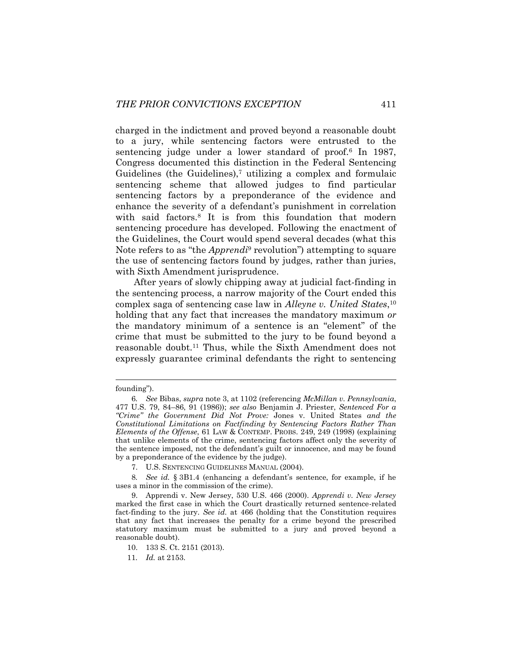charged in the indictment and proved beyond a reasonable doubt to a jury, while sentencing factors were entrusted to the sentencing judge under a lower standard of proof.<sup>6</sup> In 1987, Congress documented this distinction in the Federal Sentencing Guidelines (the Guidelines),<sup>7</sup> utilizing a complex and formulaic sentencing scheme that allowed judges to find particular sentencing factors by a preponderance of the evidence and enhance the severity of a defendant's punishment in correlation with said factors.<sup>8</sup> It is from this foundation that modern sentencing procedure has developed. Following the enactment of the Guidelines, the Court would spend several decades (what this Note refers to as "the *Apprendi*<sup>9</sup> revolution") attempting to square the use of sentencing factors found by judges, rather than juries, with Sixth Amendment jurisprudence.

After years of slowly chipping away at judicial fact-finding in the sentencing process, a narrow majority of the Court ended this complex saga of sentencing case law in *Alleyne v. United States*, 10 holding that any fact that increases the mandatory maximum *or*  the mandatory minimum of a sentence is an "element" of the crime that must be submitted to the jury to be found beyond a reasonable doubt.<sup>11</sup> Thus, while the Sixth Amendment does not expressly guarantee criminal defendants the right to sentencing

founding").

<sup>6</sup>*. See* Bibas, *supra* note [3,](#page-2-0) at 1102 (referencing *McMillan v. Pennsylvania*, 477 U.S. 79, 84–86, 91 (1986)); *see also* Benjamin J. Priester, *Sentenced For a "Crime" the Government Did Not Prove:* Jones v. United States *and the Constitutional Limitations on Factfinding by Sentencing Factors Rather Than Elements of the Offense*, 61 LAW & CONTEMP. PROBS. 249, 249 (1998) (explaining that unlike elements of the crime, sentencing factors affect only the severity of the sentence imposed, not the defendant's guilt or innocence, and may be found by a preponderance of the evidence by the judge).

<sup>7.</sup> U.S. SENTENCING GUIDELINES MANUAL (2004).

<sup>8</sup>*. See id.* § 3B1.4 (enhancing a defendant's sentence, for example, if he uses a minor in the commission of the crime).

<sup>9.</sup> Apprendi v. New Jersey, 530 U.S. 466 (2000). *Apprendi v. New Jersey*  marked the first case in which the Court drastically returned sentence-related fact-finding to the jury. *See id.* at 466 (holding that the Constitution requires that any fact that increases the penalty for a crime beyond the prescribed statutory maximum must be submitted to a jury and proved beyond a reasonable doubt).

<sup>10.</sup> 133 S. Ct. 2151 (2013).

<sup>11</sup>*. Id.* at 2153.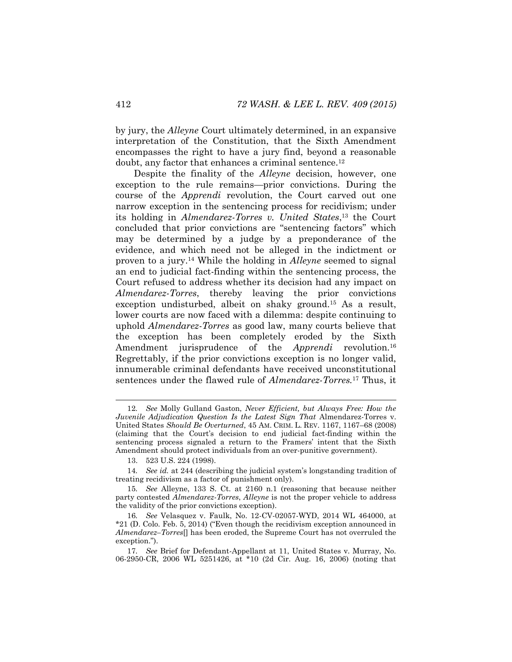by jury, the *Alleyne* Court ultimately determined, in an expansive interpretation of the Constitution, that the Sixth Amendment encompasses the right to have a jury find, beyond a reasonable doubt, any factor that enhances a criminal sentence.<sup>12</sup>

<span id="page-4-0"></span>Despite the finality of the *Alleyne* decision, however, one exception to the rule remains—prior convictions. During the course of the *Apprendi* revolution, the Court carved out one narrow exception in the sentencing process for recidivism; under its holding in *Almendarez-Torres v. United States*, <sup>13</sup> the Court concluded that prior convictions are "sentencing factors" which may be determined by a judge by a preponderance of the evidence, and which need not be alleged in the indictment or proven to a jury. <sup>14</sup> While the holding in *Alleyne* seemed to signal an end to judicial fact-finding within the sentencing process, the Court refused to address whether its decision had any impact on *Almendarez-Torres*, thereby leaving the prior convictions exception undisturbed, albeit on shaky ground.<sup>15</sup> As a result, lower courts are now faced with a dilemma: despite continuing to uphold *Almendarez-Torres* as good law, many courts believe that the exception has been completely eroded by the Sixth Amendment jurisprudence of the *Apprendi* revolution.<sup>16</sup> Regrettably, if the prior convictions exception is no longer valid, innumerable criminal defendants have received unconstitutional sentences under the flawed rule of *Almendarez-Torres.*<sup>17</sup> Thus, it

<sup>12</sup>*. See* Molly Gulland Gaston, *Never Efficient, but Always Free: How the Juvenile Adjudication Question Is the Latest Sign That Almendarez-Torres v.* United States *Should Be Overturned*, 45 AM. CRIM. L. REV. 1167, 1167–68 (2008) (claiming that the Court's decision to end judicial fact-finding within the sentencing process signaled a return to the Framers' intent that the Sixth Amendment should protect individuals from an over-punitive government).

<sup>13.</sup> 523 U.S. 224 (1998).

<sup>14</sup>*. See id.* at 244 (describing the judicial system's longstanding tradition of treating recidivism as a factor of punishment only).

<sup>15</sup>*. See* Alleyne, 133 S. Ct. at 2160 n.1 (reasoning that because neither party contested *Almendarez-Torres*, *Alleyne* is not the proper vehicle to address the validity of the prior convictions exception).

<sup>16</sup>*. See* Velasquez v. Faulk, No. 12-CV-02057-WYD, 2014 WL 464000, at \*21 (D. Colo. Feb. 5, 2014) ("Even though the recidivism exception announced in *Almendarez–Torres*[] has been eroded, the Supreme Court has not overruled the exception.").

<sup>17</sup>*. See* Brief for Defendant-Appellant at 11, United States v. Murray, No. 06-2950-CR, 2006 WL 5251426, at \*10 (2d Cir. Aug. 16, 2006) (noting that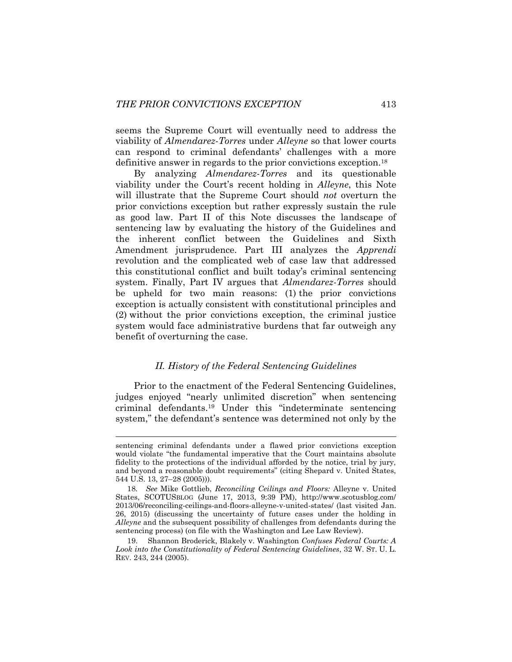seems the Supreme Court will eventually need to address the viability of *Almendarez-Torres* under *Alleyne* so that lower courts can respond to criminal defendants' challenges with a more definitive answer in regards to the prior convictions exception.<sup>18</sup>

<span id="page-5-1"></span>By analyzing *Almendarez-Torres* and its questionable viability under the Court's recent holding in *Alleyne*, this Note will illustrate that the Supreme Court should *not* overturn the prior convictions exception but rather expressly sustain the rule as good law. Part II of this Note discusses the landscape of sentencing law by evaluating the history of the Guidelines and the inherent conflict between the Guidelines and Sixth Amendment jurisprudence. Part III analyzes the *Apprendi*  revolution and the complicated web of case law that addressed this constitutional conflict and built today's criminal sentencing system. Finally, Part IV argues that *Almendarez-Torres* should be upheld for two main reasons: (1) the prior convictions exception is actually consistent with constitutional principles and (2) without the prior convictions exception, the criminal justice system would face administrative burdens that far outweigh any benefit of overturning the case.

## <span id="page-5-0"></span>*II. History of the Federal Sentencing Guidelines*

Prior to the enactment of the Federal Sentencing Guidelines, judges enjoyed "nearly unlimited discretion" when sentencing criminal defendants.<sup>19</sup> Under this "indeterminate sentencing system," the defendant's sentence was determined not only by the

sentencing criminal defendants under a flawed prior convictions exception would violate "the fundamental imperative that the Court maintains absolute fidelity to the protections of the individual afforded by the notice, trial by jury, and beyond a reasonable doubt requirements" (citing Shepard v. United States, 544 U.S. 13, 27–28 (2005))).

<sup>18</sup>*. See* Mike Gottlieb, *Reconciling Ceilings and Floors:* Alleyne v. United States, SCOTUSBLOG (June 17, 2013, 9:39 PM), http://www.scotusblog.com/ 2013/06/reconciling-ceilings-and-floors-alleyne-v-united-states/ (last visited Jan. 26, 2015) (discussing the uncertainty of future cases under the holding in *Alleyne* and the subsequent possibility of challenges from defendants during the sentencing process) (on file with the Washington and Lee Law Review).

<sup>19.</sup> Shannon Broderick, Blakely v. Washington *Confuses Federal Courts: A Look into the Constitutionality of Federal Sentencing Guidelines*, 32 W. ST. U. L. REV. 243, 244 (2005).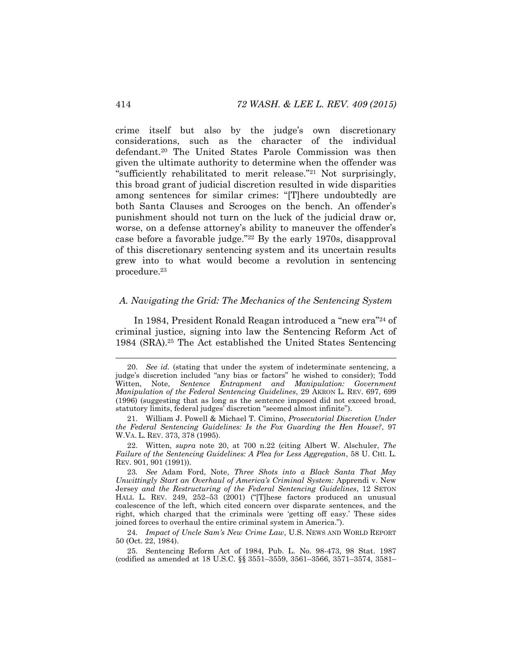<span id="page-6-0"></span>crime itself but also by the judge's own discretionary considerations, such as the character of the individual defendant.<sup>20</sup> The United States Parole Commission was then given the ultimate authority to determine when the offender was "sufficiently rehabilitated to merit release."<sup>21</sup> Not surprisingly, this broad grant of judicial discretion resulted in wide disparities among sentences for similar crimes: "[T]here undoubtedly are both Santa Clauses and Scrooges on the bench. An offender's punishment should not turn on the luck of the judicial draw or, worse, on a defense attorney's ability to maneuver the offender's case before a favorable judge."<sup>22</sup> By the early 1970s, disapproval of this discretionary sentencing system and its uncertain results grew into to what would become a revolution in sentencing procedure.<sup>23</sup>

# <span id="page-6-1"></span>*A. Navigating the Grid: The Mechanics of the Sentencing System*

In 1984, President Ronald Reagan introduced a "new era"<sup>24</sup> of criminal justice, signing into law the Sentencing Reform Act of 1984 (SRA).<sup>25</sup> The Act established the United States Sentencing

<sup>20.</sup> *See id.* (stating that under the system of indeterminate sentencing, a judge's discretion included "any bias or factors" he wished to consider); Todd Witten, Note, *Sentence Entrapment and Manipulation: Government Manipulation of the Federal Sentencing Guidelines*, 29 AKRON L. REV. 697, 699 (1996) (suggesting that as long as the sentence imposed did not exceed broad, statutory limits, federal judges' discretion "seemed almost infinite").

<sup>21.</sup> William J. Powell & Michael T. Cimino, *Prosecutorial Discretion Under the Federal Sentencing Guidelines: Is the Fox Guarding the Hen House?*, 97 W.VA. L. REV. 373, 378 (1995).

<sup>22.</sup> Witten, *supra* note [20,](#page-6-0) at 700 n.22 (citing Albert W. Alschuler, *The Failure of the Sentencing Guidelines: A Plea for Less Aggregation*, 58 U. CHI. L. REV. 901, 901 (1991)).

<sup>23</sup>*. See* Adam Ford, Note, *Three Shots into a Black Santa That May Unwittingly Start an Overhaul of America's Criminal System:* Apprendi v. New Jersey *and the Restructuring of the Federal Sentencing Guidelines*, 12 SETON HALL L. REV. 249, 252–53 (2001) ("[T]hese factors produced an unusual coalescence of the left, which cited concern over disparate sentences, and the right, which charged that the criminals were 'getting off easy.' These sides joined forces to overhaul the entire criminal system in America.").

<sup>24</sup>*. Impact of Uncle Sam's New Crime Law*, U.S. NEWS AND WORLD REPORT 50 (Oct. 22, 1984).

<sup>25.</sup> Sentencing Reform Act of 1984, Pub. L. No. 98-473, 98 Stat. 1987 (codified as amended at 18 U.S.C. §§ 3551–3559, 3561–3566, 3571–3574, 3581–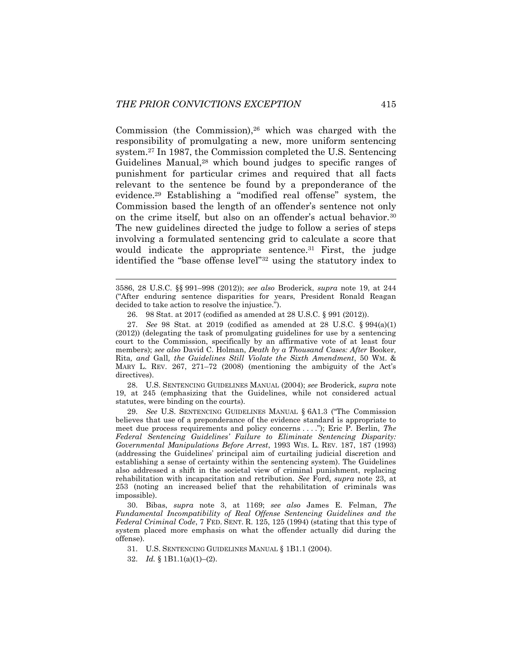Commission (the Commission), $26$  which was charged with the responsibility of promulgating a new, more uniform sentencing system.<sup>27</sup> In 1987, the Commission completed the U.S. Sentencing Guidelines Manual,<sup>28</sup> which bound judges to specific ranges of punishment for particular crimes and required that all facts relevant to the sentence be found by a preponderance of the evidence.<sup>29</sup> Establishing a "modified real offense" system, the Commission based the length of an offender's sentence not only on the crime itself, but also on an offender's actual behavior.<sup>30</sup> The new guidelines directed the judge to follow a series of steps involving a formulated sentencing grid to calculate a score that would indicate the appropriate sentence.<sup>31</sup> First, the judge identified the "base offense level"<sup>32</sup> using the statutory index to

3586, 28 U.S.C. §§ 991–998 (2012)); *see also* Broderick, *supra* note [19,](#page-5-0) at 244 ("After enduring sentence disparities for years, President Ronald Reagan decided to take action to resolve the injustice.").

26. 98 Stat. at 2017 (codified as amended at 28 U.S.C. § 991 (2012)).

27. *See* 98 Stat. at 2019 (codified as amended at 28 U.S.C. § 994(a)(1) (2012)) (delegating the task of promulgating guidelines for use by a sentencing court to the Commission, specifically by an affirmative vote of at least four members); *see also* David C. Holman, *Death by a Thousand Cases: After* Booker*,* Rita*, and* Gall*, the Guidelines Still Violate the Sixth Amendment*, 50 WM. & MARY L. REV. 267, 271–72 (2008) (mentioning the ambiguity of the Act's directives).

28. U.S. SENTENCING GUIDELINES MANUAL (2004); *see* Broderick, *supra* note [19,](#page-5-0) at 245 (emphasizing that the Guidelines, while not considered actual statutes, were binding on the courts).

29. *See* U.S. SENTENCING GUIDELINES MANUAL § 6A1.3 ("The Commission believes that use of a preponderance of the evidence standard is appropriate to meet due process requirements and policy concerns . . . ."); Eric P. Berlin, *The Federal Sentencing Guidelines' Failure to Eliminate Sentencing Disparity: Governmental Manipulations Before Arrest*, 1993 WIS. L. REV. 187, 187 (1993) (addressing the Guidelines' principal aim of curtailing judicial discretion and establishing a sense of certainty within the sentencing system). The Guidelines also addressed a shift in the societal view of criminal punishment, replacing rehabilitation with incapacitation and retribution. *See* Ford, *supra* note [23,](#page-6-1) at 253 (noting an increased belief that the rehabilitation of criminals was impossible).

30. Bibas, *supra* note [3,](#page-2-0) at 1169; *see also* James E. Felman, *The Fundamental Incompatibility of Real Offense Sentencing Guidelines and the Federal Criminal Code*, 7 FED. SENT. R. 125, 125 (1994) (stating that this type of system placed more emphasis on what the offender actually did during the offense).

31. U.S. SENTENCING GUIDELINES MANUAL § 1B1.1 (2004).

<sup>32.</sup> *Id.* § 1B1.1(a)(1)–(2).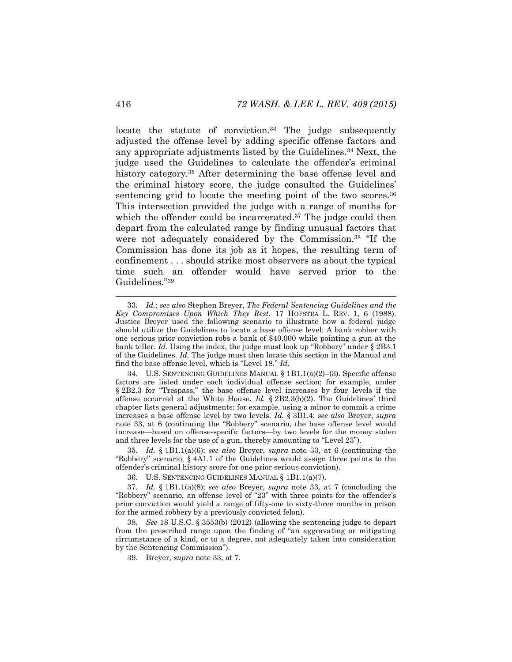<span id="page-8-0"></span>locate the statute of conviction.<sup>33</sup> The judge subsequently adjusted the offense level by adding specific offense factors and any appropriate adjustments listed by the Guidelines.<sup>34</sup> Next, the judge used the Guidelines to calculate the offender's criminal history category.<sup>35</sup> After determining the base offense level and the criminal history score, the judge consulted the Guidelines' sentencing grid to locate the meeting point of the two scores.  $36$ This intersection provided the judge with a range of months for which the offender could be incarcerated.<sup>37</sup> The judge could then depart from the calculated range by finding unusual factors that were not adequately considered by the Commission.<sup>38</sup> "If the Commission has done its job as it hopes, the resulting term of confinement . . . should strike most observers as about the typical time such an offender would have served prior to the Guidelines."<sup>39</sup>

35. *Id.* § 1B1.1(a)(6); *see also* Breyer, *supra* note [33,](#page-8-0) at 6 (continuing the "Robbery" scenario, § 4A1.1 of the Guidelines would assign three points to the offender's criminal history score for one prior serious conviction).

36. U.S. SENTENCING GUIDELINES MANUAL § 1B1.1(a)(7).

37. *Id.* § 1B1.1(a)(8); *see also* Breyer, *supra* note [33,](#page-8-0) at 7 (concluding the "Robbery" scenario, an offense level of "23" with three points for the offender's prior conviction would yield a range of fifty-one to sixty-three months in prison for the armed robbery by a previously convicted felon).

38. *See* 18 U.S.C. § 3553(b) (2012) (allowing the sentencing judge to depart from the prescribed range upon the finding of "an aggravating or mitigating circumstance of a kind, or to a degree, not adequately taken into consideration by the Sentencing Commission").

39. Breyer, *supra* not[e 33,](#page-8-0) at 7.

<sup>33.</sup> *Id.*; *see also* Stephen Breyer, *The Federal Sentencing Guidelines and the Key Compromises Upon Which They Rest*, 17 HOFSTRA L. REV. 1, 6 (1988). Justice Breyer used the following scenario to illustrate how a federal judge should utilize the Guidelines to locate a base offense level: A bank robber with one serious prior conviction robs a bank of \$40,000 while pointing a gun at the bank teller. *Id.* Using the index, the judge must look up "Robbery" under § 2B3.1 of the Guidelines. *Id.* The judge must then locate this section in the Manual and find the base offense level, which is "Level 18." *Id.*

<sup>34.</sup> U.S. SENTENCING GUIDELINES MANUAL § 1B1.1(a)(2)–(3). Specific offense factors are listed under each individual offense section; for example, under § 2B2.3 for "Trespass," the base offense level increases by four levels if the offense occurred at the White House. *Id.* § 2B2.3(b)(2). The Guidelines' third chapter lists general adjustments; for example, using a minor to commit a crime increases a base offense level by two levels. *Id.* § 3B1.4; *see also* Breyer, *supra*  note [33](#page-8-0), at 6 (continuing the "Robbery" scenario, the base offense level would increase—based on offense-specific factors—by two levels for the money stolen and three levels for the use of a gun, thereby amounting to "Level 23").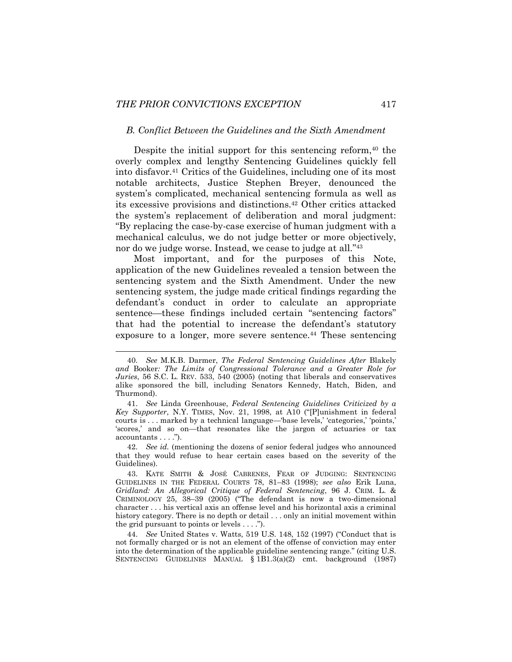l

#### <span id="page-9-0"></span>*B. Conflict Between the Guidelines and the Sixth Amendment*

Despite the initial support for this sentencing reform,  $40$  the overly complex and lengthy Sentencing Guidelines quickly fell into disfavor.<sup>41</sup> Critics of the Guidelines, including one of its most notable architects, Justice Stephen Breyer, denounced the system's complicated, mechanical sentencing formula as well as its excessive provisions and distinctions.<sup>42</sup> Other critics attacked the system's replacement of deliberation and moral judgment: "By replacing the case-by-case exercise of human judgment with a mechanical calculus, we do not judge better or more objectively, nor do we judge worse. Instead, we cease to judge at all."<sup>43</sup>

<span id="page-9-1"></span>Most important, and for the purposes of this Note, application of the new Guidelines revealed a tension between the sentencing system and the Sixth Amendment. Under the new sentencing system, the judge made critical findings regarding the defendant's conduct in order to calculate an appropriate sentence—these findings included certain "sentencing factors" that had the potential to increase the defendant's statutory exposure to a longer, more severe sentence.<sup>44</sup> These sentencing

<sup>40.</sup> *See* M.K.B. Darmer, *The Federal Sentencing Guidelines After* Blakely *and* Booker*: The Limits of Congressional Tolerance and a Greater Role for Juries*, 56 S.C. L. REV. 533, 540 (2005) (noting that liberals and conservatives alike sponsored the bill, including Senators Kennedy, Hatch, Biden, and Thurmond).

<sup>41.</sup> *See* Linda Greenhouse, *Federal Sentencing Guidelines Criticized by a Key Supporter*, N.Y. TIMES, Nov. 21, 1998, at A10 ("[P]unishment in federal courts is . . . marked by a technical language—'base levels,' 'categories,' 'points,' 'scores,' and so on—that resonates like the jargon of actuaries or tax accountants . . . .").

<sup>42.</sup> *See id.* (mentioning the dozens of senior federal judges who announced that they would refuse to hear certain cases based on the severity of the Guidelines).

<sup>43.</sup> KATE SMITH & JOSÉ CABRENES, FEAR OF JUDGING: SENTENCING GUIDELINES IN THE FEDERAL COURTS 78, 81–83 (1998); *see also* Erik Luna, *Gridland: An Allegorical Critique of Federal Sentencing*, 96 J. CRIM. L. & CRIMINOLOGY 25, 38–39 (2005) ("The defendant is now a two-dimensional character . . . his vertical axis an offense level and his horizontal axis a criminal history category. There is no depth or detail . . . only an initial movement within the grid pursuant to points or levels . . . .").

<sup>44.</sup> *See* United States v. Watts, 519 U.S. 148, 152 (1997) ("Conduct that is not formally charged or is not an element of the offense of conviction may enter into the determination of the applicable guideline sentencing range." (citing U.S. SENTENCING GUIDELINES MANUAL § 1B1.3(a)(2) cmt. background (1987)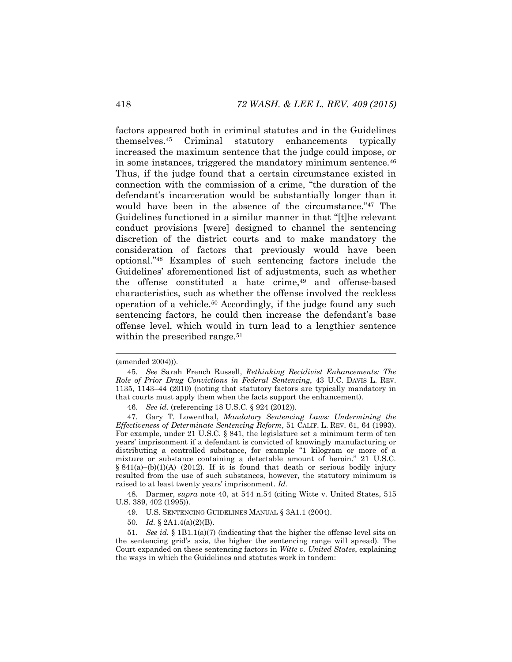<span id="page-10-0"></span>factors appeared both in criminal statutes and in the Guidelines themselves.<sup>45</sup> Criminal statutory enhancements typically increased the maximum sentence that the judge could impose, or in some instances, triggered the mandatory minimum sentence.<sup>46</sup> Thus, if the judge found that a certain circumstance existed in connection with the commission of a crime, "the duration of the defendant's incarceration would be substantially longer than it would have been in the absence of the circumstance."<sup>47</sup> The Guidelines functioned in a similar manner in that "[t]he relevant conduct provisions [were] designed to channel the sentencing discretion of the district courts and to make mandatory the consideration of factors that previously would have been optional."<sup>48</sup> Examples of such sentencing factors include the Guidelines' aforementioned list of adjustments, such as whether the offense constituted a hate crime,<sup>49</sup> and offense-based characteristics, such as whether the offense involved the reckless operation of a vehicle.<sup>50</sup> Accordingly, if the judge found any such sentencing factors, he could then increase the defendant's base offense level, which would in turn lead to a lengthier sentence within the prescribed range.<sup>51</sup>

48. Darmer, *supra* note [40,](#page-9-0) at 544 n.54 (citing Witte v. United States, 515 U.S. 389, 402 (1995)).

- 49. U.S. SENTENCING GUIDELINES MANUAL § 3A1.1 (2004).
- 50. *Id.* § 2A1.4(a)(2)(B).

<sup>(</sup>amended 2004))).

<sup>45.</sup> *See* Sarah French Russell, *Rethinking Recidivist Enhancements: The Role of Prior Drug Convictions in Federal Sentencing*, 43 U.C. DAVIS L. REV. 1135, 1143–44 (2010) (noting that statutory factors are typically mandatory in that courts must apply them when the facts support the enhancement).

<sup>46.</sup> *See id.* (referencing 18 U.S.C. § 924 (2012)).

<sup>47.</sup> Gary T. Lowenthal, *Mandatory Sentencing Laws: Undermining the Effectiveness of Determinate Sentencing Reform*, 51 CALIF. L. REV. 61, 64 (1993). For example, under 21 U.S.C. § 841, the legislature set a minimum term of ten years' imprisonment if a defendant is convicted of knowingly manufacturing or distributing a controlled substance, for example "1 kilogram or more of a mixture or substance containing a detectable amount of heroin." 21 U.S.C. § 841(a)–(b)(1)(A) (2012). If it is found that death or serious bodily injury resulted from the use of such substances, however, the statutory minimum is raised to at least twenty years' imprisonment. *Id.*

<sup>51.</sup> *See id.* § 1B1.1(a)(7) (indicating that the higher the offense level sits on the sentencing grid's axis, the higher the sentencing range will spread). The Court expanded on these sentencing factors in *Witte v. United States*, explaining the ways in which the Guidelines and statutes work in tandem: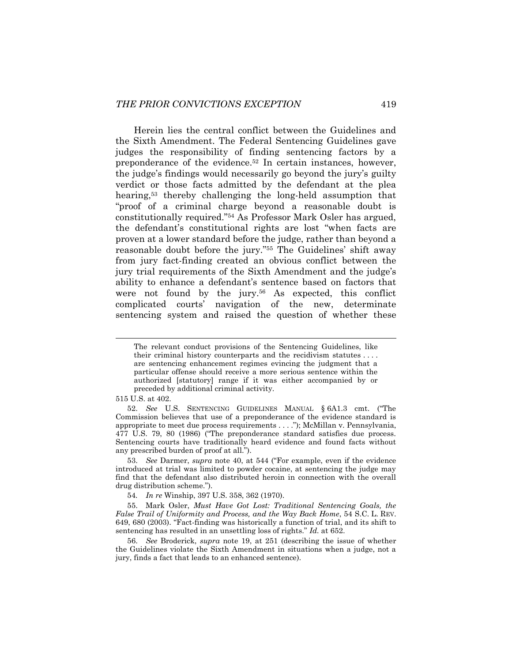Herein lies the central conflict between the Guidelines and the Sixth Amendment. The Federal Sentencing Guidelines gave judges the responsibility of finding sentencing factors by a preponderance of the evidence.<sup>52</sup> In certain instances, however, the judge's findings would necessarily go beyond the jury's guilty verdict or those facts admitted by the defendant at the plea hearing,<sup>53</sup> thereby challenging the long-held assumption that "proof of a criminal charge beyond a reasonable doubt is constitutionally required."<sup>54</sup> As Professor Mark Osler has argued, the defendant's constitutional rights are lost "when facts are proven at a lower standard before the judge, rather than beyond a reasonable doubt before the jury."<sup>55</sup> The Guidelines' shift away from jury fact-finding created an obvious conflict between the jury trial requirements of the Sixth Amendment and the judge's ability to enhance a defendant's sentence based on factors that were not found by the jury.<sup>56</sup> As expected, this conflict complicated courts' navigation of the new, determinate sentencing system and raised the question of whether these

515 U.S. at 402.

The relevant conduct provisions of the Sentencing Guidelines, like their criminal history counterparts and the recidivism statutes . . . . are sentencing enhancement regimes evincing the judgment that a particular offense should receive a more serious sentence within the authorized [statutory] range if it was either accompanied by or preceded by additional criminal activity.

<sup>52.</sup> *See* U.S. SENTENCING GUIDELINES MANUAL § 6A1.3 cmt. ("The Commission believes that use of a preponderance of the evidence standard is appropriate to meet due process requirements . . . ."); McMillan v. Pennsylvania, 477 U.S. 79, 80 (1986) ("The preponderance standard satisfies due process. Sentencing courts have traditionally heard evidence and found facts without any prescribed burden of proof at all.").

<sup>53.</sup> *See* Darmer, *supra* note [40](#page-9-0), at 544 ("For example, even if the evidence introduced at trial was limited to powder cocaine, at sentencing the judge may find that the defendant also distributed heroin in connection with the overall drug distribution scheme.").

<sup>54</sup>*. In re* Winship, 397 U.S. 358, 362 (1970).

<sup>55.</sup> Mark Osler, *Must Have Got Lost: Traditional Sentencing Goals, the False Trail of Uniformity and Process, and the Way Back Home*, 54 S.C. L. REV. 649, 680 (2003). "Fact-finding was historically a function of trial, and its shift to sentencing has resulted in an unsettling loss of rights." *Id.* at 652.

<sup>56.</sup> *See* Broderick, *supra* note [19,](#page-5-0) at 251 (describing the issue of whether the Guidelines violate the Sixth Amendment in situations when a judge, not a jury, finds a fact that leads to an enhanced sentence).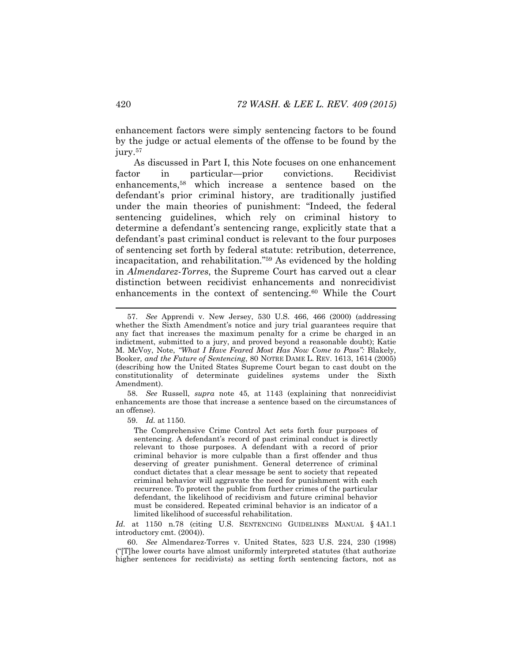enhancement factors were simply sentencing factors to be found by the judge or actual elements of the offense to be found by the jury.<sup>57</sup>

<span id="page-12-0"></span>As discussed in Part I, this Note focuses on one enhancement factor in particular—prior convictions. Recidivist enhancements,<sup>58</sup> which increase a sentence based on the defendant's prior criminal history, are traditionally justified under the main theories of punishment: "Indeed, the federal sentencing guidelines, which rely on criminal history to determine a defendant's sentencing range, explicitly state that a defendant's past criminal conduct is relevant to the four purposes of sentencing set forth by federal statute: retribution, deterrence, incapacitation, and rehabilitation."<sup>59</sup> As evidenced by the holding in *Almendarez-Torres*, the Supreme Court has carved out a clear distinction between recidivist enhancements and nonrecidivist enhancements in the context of sentencing.<sup>60</sup> While the Court

58. *See* Russell, *supra* note [45,](#page-10-0) at 1143 (explaining that nonrecidivist enhancements are those that increase a sentence based on the circumstances of an offense).

59. *Id.* at 1150.

The Comprehensive Crime Control Act sets forth four purposes of sentencing. A defendant's record of past criminal conduct is directly relevant to those purposes. A defendant with a record of prior criminal behavior is more culpable than a first offender and thus deserving of greater punishment. General deterrence of criminal conduct dictates that a clear message be sent to society that repeated criminal behavior will aggravate the need for punishment with each recurrence. To protect the public from further crimes of the particular defendant, the likelihood of recidivism and future criminal behavior must be considered. Repeated criminal behavior is an indicator of a limited likelihood of successful rehabilitation.

Id. at 1150 n.78 (citing U.S. SENTENCING GUIDELINES MANUAL § 4A1.1 introductory cmt. (2004)).

60. *See* Almendarez-Torres v. United States, 523 U.S. 224, 230 (1998) ("[T]he lower courts have almost uniformly interpreted statutes (that authorize higher sentences for recidivists) as setting forth sentencing factors, not as

<sup>57.</sup> *See* Apprendi v. New Jersey, 530 U.S. 466, 466 (2000) (addressing whether the Sixth Amendment's notice and jury trial guarantees require that any fact that increases the maximum penalty for a crime be charged in an indictment, submitted to a jury, and proved beyond a reasonable doubt); Katie M. McVoy, Note, *"What I Have Feared Most Has Now Come to Pass":* Blakely*,* Booker*, and the Future of Sentencing*, 80 NOTRE DAME L. REV. 1613, 1614 (2005) (describing how the United States Supreme Court began to cast doubt on the constitutionality of determinate guidelines systems under the Sixth Amendment).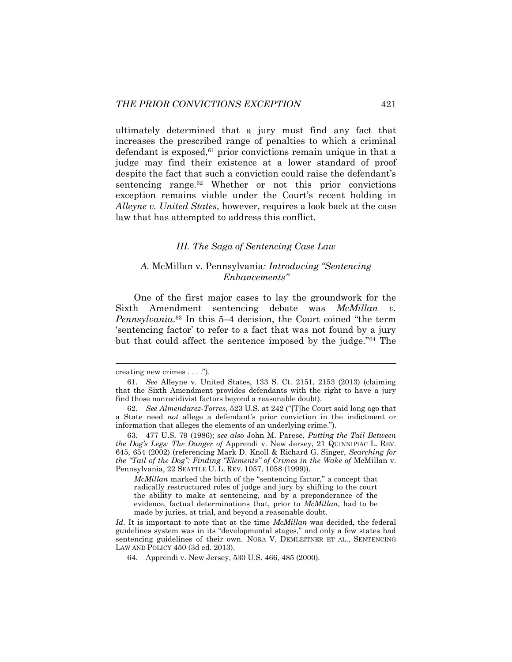ultimately determined that a jury must find any fact that increases the prescribed range of penalties to which a criminal defendant is exposed,<sup>61</sup> prior convictions remain unique in that a judge may find their existence at a lower standard of proof despite the fact that such a conviction could raise the defendant's sentencing range.<sup>62</sup> Whether or not this prior convictions exception remains viable under the Court's recent holding in *Alleyne v. United States*, however, requires a look back at the case law that has attempted to address this conflict.

# *III. The Saga of Sentencing Case Law*

# *A.* McMillan v. Pennsylvania*: Introducing "Sentencing Enhancements"*

<span id="page-13-0"></span>One of the first major cases to lay the groundwork for the Sixth Amendment sentencing debate was *McMillan Pennsylvania*. <sup>63</sup> In this 5–4 decision, the Court coined "the term 'sentencing factor' to refer to a fact that was not found by a jury but that could affect the sentence imposed by the judge."<sup>64</sup> The

*McMillan* marked the birth of the "sentencing factor," a concept that radically restructured roles of judge and jury by shifting to the court the ability to make at sentencing, and by a preponderance of the evidence, factual determinations that, prior to *McMillan*, had to be made by juries, at trial, and beyond a reasonable doubt.

creating new crimes . . . .").

<sup>61.</sup> *See* Alleyne v. United States, 133 S. Ct. 2151, 2153 (2013) (claiming that the Sixth Amendment provides defendants with the right to have a jury find those nonrecidivist factors beyond a reasonable doubt).

<sup>62.</sup> *See Almendarez-Torres*, 523 U.S. at 242 ("[T]he Court said long ago that a State need *not* allege a defendant's prior conviction in the indictment or information that alleges the elements of an underlying crime.").

<sup>63.</sup> 477 U.S. 79 (1986); *see also* John M. Parese, *Putting the Tail Between the Dog's Legs: The Danger of* Apprendi v. New Jersey, 21 QUINNIPIAC L. REV. 645, 654 (2002) (referencing Mark D. Knoll & Richard G. Singer, *Searching for the "Tail of the Dog": Finding "Elements" of Crimes in the Wake of* McMillan v. Pennsylvania, 22 SEATTLE U. L. REV. 1057, 1058 (1999)).

*Id.* It is important to note that at the time *McMillan* was decided, the federal guidelines system was in its "developmental stages," and only a few states had sentencing guidelines of their own. NORA V. DEMLEITNER ET AL., SENTENCING LAW AND POLICY 450 (3d ed. 2013).

<sup>64.</sup> Apprendi v. New Jersey, 530 U.S. 466, 485 (2000).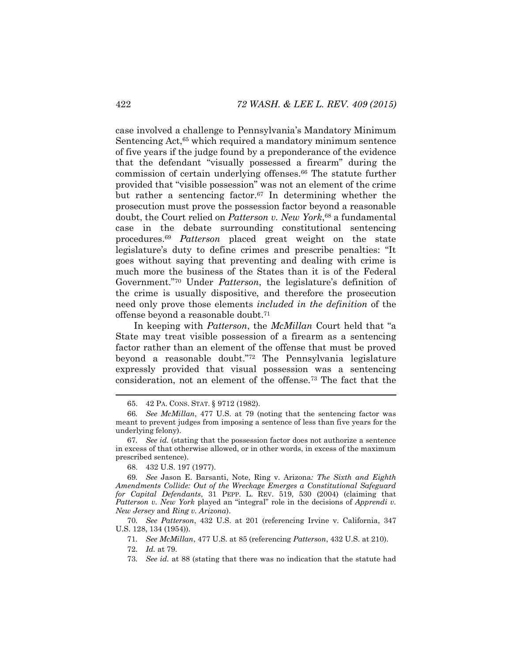case involved a challenge to Pennsylvania's Mandatory Minimum Sentencing Act,<sup>65</sup> which required a mandatory minimum sentence of five years if the judge found by a preponderance of the evidence that the defendant "visually possessed a firearm" during the commission of certain underlying offenses.<sup>66</sup> The statute further provided that "visible possession" was not an element of the crime but rather a sentencing factor.<sup>67</sup> In determining whether the prosecution must prove the possession factor beyond a reasonable doubt, the Court relied on *Patterson v. New York*, <sup>68</sup> a fundamental case in the debate surrounding constitutional sentencing procedures.<sup>69</sup> *Patterson* placed great weight on the state legislature's duty to define crimes and prescribe penalties: "It goes without saying that preventing and dealing with crime is much more the business of the States than it is of the Federal Government."<sup>70</sup> Under *Patterson*, the legislature's definition of the crime is usually dispositive, and therefore the prosecution need only prove those elements *included in the definition* of the offense beyond a reasonable doubt.<sup>71</sup>

In keeping with *Patterson*, the *McMillan* Court held that "a State may treat visible possession of a firearm as a sentencing factor rather than an element of the offense that must be proved beyond a reasonable doubt."<sup>72</sup> The Pennsylvania legislature expressly provided that visual possession was a sentencing consideration, not an element of the offense.<sup>73</sup> The fact that the

71*. See McMillan*, 477 U.S. at 85 (referencing *Patterson*, 432 U.S. at 210).

<sup>65.</sup> 42 PA. CONS. STAT. § 9712 (1982).

<sup>66</sup>*. See McMillan*, 477 U.S. at 79 (noting that the sentencing factor was meant to prevent judges from imposing a sentence of less than five years for the underlying felony).

<sup>67</sup>*. See id.* (stating that the possession factor does not authorize a sentence in excess of that otherwise allowed, or in other words, in excess of the maximum prescribed sentence).

<sup>68.</sup> 432 U.S. 197 (1977).

<sup>69</sup>*. See* Jason E. Barsanti, Note, Ring v. Arizona*: The Sixth and Eighth Amendments Collide: Out of the Wreckage Emerges a Constitutional Safeguard for Capital Defendants*, 31 PEPP. L. REV. 519, 530 (2004) (claiming that *Patterson v. New York* played an "integral" role in the decisions of *Apprendi v. New Jersey* and *Ring v. Arizona*).

<sup>70</sup>*. See Patterson*, 432 U.S. at 201 (referencing Irvine v. California, 347 U.S. 128, 134 (1954)).

<sup>72</sup>*. Id.* at 79.

<sup>73</sup>*. See id.* at 88 (stating that there was no indication that the statute had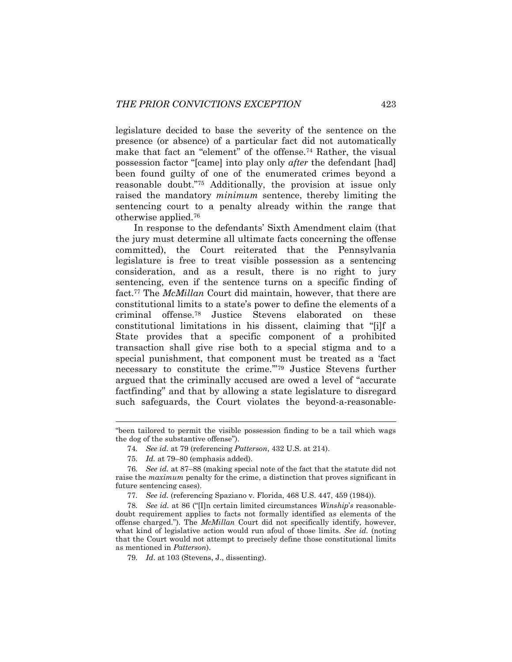legislature decided to base the severity of the sentence on the presence (or absence) of a particular fact did not automatically make that fact an "element" of the offense.<sup>74</sup> Rather, the visual possession factor "[came] into play only *after* the defendant [had] been found guilty of one of the enumerated crimes beyond a reasonable doubt."<sup>75</sup> Additionally, the provision at issue only raised the mandatory *minimum* sentence, thereby limiting the sentencing court to a penalty already within the range that otherwise applied.<sup>76</sup>

In response to the defendants' Sixth Amendment claim (that the jury must determine all ultimate facts concerning the offense committed), the Court reiterated that the Pennsylvania legislature is free to treat visible possession as a sentencing consideration, and as a result, there is no right to jury sentencing, even if the sentence turns on a specific finding of fact.<sup>77</sup> The *McMillan* Court did maintain, however, that there are constitutional limits to a state's power to define the elements of a criminal offense.<sup>78</sup> Justice Stevens elaborated on these constitutional limitations in his dissent, claiming that "[i]f a State provides that a specific component of a prohibited transaction shall give rise both to a special stigma and to a special punishment, that component must be treated as a 'fact necessary to constitute the crime.'"<sup>79</sup> Justice Stevens further argued that the criminally accused are owed a level of "accurate factfinding" and that by allowing a state legislature to disregard such safeguards, the Court violates the beyond-a-reasonable-

<sup>&</sup>quot;been tailored to permit the visible possession finding to be a tail which wags the dog of the substantive offense").

<sup>74</sup>*. See id.* at 79 (referencing *Patterson*, 432 U.S. at 214).

<sup>75</sup>*. Id.* at 79–80 (emphasis added).

<sup>76</sup>*. See id.* at 87–88 (making special note of the fact that the statute did not raise the *maximum* penalty for the crime, a distinction that proves significant in future sentencing cases).

<sup>77</sup>*. See id.* (referencing Spaziano v. Florida, 468 U.S. 447, 459 (1984)).

<sup>78</sup>*. See id.* at 86 ("[I]n certain limited circumstances *Winship*'*s* reasonabledoubt requirement applies to facts not formally identified as elements of the offense charged."). The *McMillan* Court did not specifically identify, however, what kind of legislative action would run afoul of those limits. *See id.* (noting that the Court would not attempt to precisely define those constitutional limits as mentioned in *Patterson*).

<sup>79</sup>*. Id*. at 103 (Stevens, J., dissenting).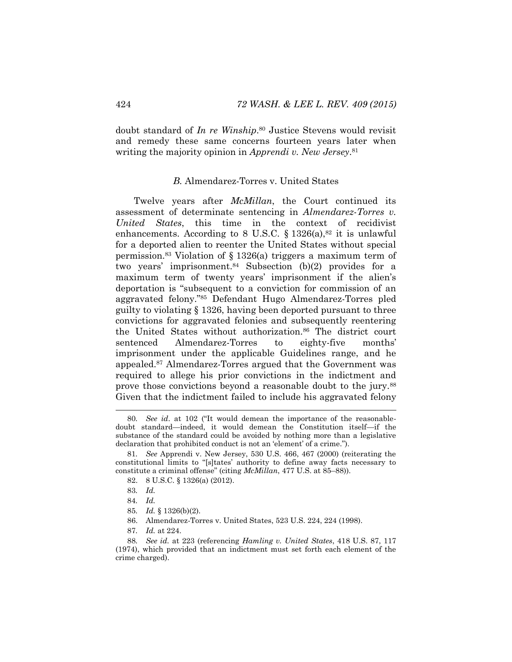doubt standard of *In re Winship*. <sup>80</sup> Justice Stevens would revisit and remedy these same concerns fourteen years later when writing the majority opinion in *Apprendi v. New Jersey*. 81

# *B.* Almendarez-Torres v. United States

Twelve years after *McMillan*, the Court continued its assessment of determinate sentencing in *Almendarez-Torres v. United States*, this time in the context of recidivist enhancements. According to 8 U.S.C. § 1326(a), $82$  it is unlawful for a deported alien to reenter the United States without special permission.<sup>83</sup> Violation of § 1326(a) triggers a maximum term of two years' imprisonment. $84$  Subsection (b)(2) provides for a maximum term of twenty years' imprisonment if the alien's deportation is "subsequent to a conviction for commission of an aggravated felony."<sup>85</sup> Defendant Hugo Almendarez-Torres pled guilty to violating § 1326, having been deported pursuant to three convictions for aggravated felonies and subsequently reentering the United States without authorization.<sup>86</sup> The district court sentenced Almendarez-Torres to eighty-five months' imprisonment under the applicable Guidelines range, and he appealed.<sup>87</sup> Almendarez-Torres argued that the Government was required to allege his prior convictions in the indictment and prove those convictions beyond a reasonable doubt to the jury.<sup>88</sup> Given that the indictment failed to include his aggravated felony

- 85*. Id.* § 1326(b)(2).
- 86. Almendarez-Torres v. United States, 523 U.S. 224, 224 (1998).
- 87*. Id.* at 224.

<sup>80</sup>*. See id*. at 102 ("It would demean the importance of the reasonabledoubt standard—indeed, it would demean the Constitution itself—if the substance of the standard could be avoided by nothing more than a legislative declaration that prohibited conduct is not an 'element' of a crime.").

<sup>81</sup>*. See* Apprendi v. New Jersey, 530 U.S. 466, 467 (2000) (reiterating the constitutional limits to "[s]tates' authority to define away facts necessary to constitute a criminal offense" (citing *McMillan*, 477 U.S. at 85–88)).

<sup>82.</sup> 8 U.S.C. § 1326(a) (2012).

<sup>83</sup>*. Id.* 

<sup>84</sup>*. Id.*

<sup>88</sup>*. See id.* at 223 (referencing *Hamling v. United States*, 418 U.S. 87, 117 (1974), which provided that an indictment must set forth each element of the crime charged).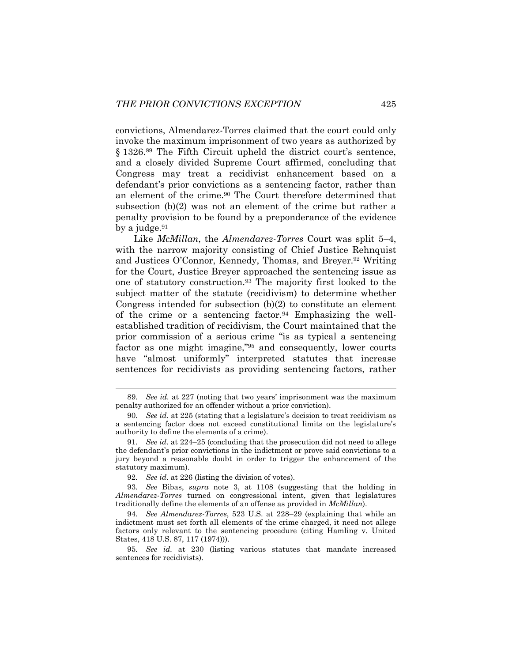convictions, Almendarez-Torres claimed that the court could only invoke the maximum imprisonment of two years as authorized by § 1326.<sup>89</sup> The Fifth Circuit upheld the district court's sentence, and a closely divided Supreme Court affirmed, concluding that Congress may treat a recidivist enhancement based on a defendant's prior convictions as a sentencing factor, rather than an element of the crime.<sup>90</sup> The Court therefore determined that subsection (b)(2) was not an element of the crime but rather a penalty provision to be found by a preponderance of the evidence by a judge. $91$ 

Like *McMillan*, the *Almendarez-Torres* Court was split 5–4, with the narrow majority consisting of Chief Justice Rehnquist and Justices O'Connor, Kennedy, Thomas, and Breyer. <sup>92</sup> Writing for the Court, Justice Breyer approached the sentencing issue as one of statutory construction.<sup>93</sup> The majority first looked to the subject matter of the statute (recidivism) to determine whether Congress intended for subsection (b)(2) to constitute an element of the crime or a sentencing factor.<sup>94</sup> Emphasizing the wellestablished tradition of recidivism, the Court maintained that the prior commission of a serious crime "is as typical a sentencing factor as one might imagine,"<sup>95</sup> and consequently, lower courts have "almost uniformly" interpreted statutes that increase sentences for recidivists as providing sentencing factors, rather

92*. See id.* at 226 (listing the division of votes).

93*. See* Bibas, *supra* note [3,](#page-2-0) at 1108 (suggesting that the holding in *Almendarez-Torres* turned on congressional intent, given that legislatures traditionally define the elements of an offense as provided in *McMillan*).

94*. See Almendarez-Torres*, 523 U.S. at 228–29 (explaining that while an indictment must set forth all elements of the crime charged, it need not allege factors only relevant to the sentencing procedure (citing Hamling v. United States, 418 U.S. 87, 117 (1974))).

<sup>89</sup>*. See id.* at 227 (noting that two years' imprisonment was the maximum penalty authorized for an offender without a prior conviction).

<sup>90</sup>*. See id.* at 225 (stating that a legislature's decision to treat recidivism as a sentencing factor does not exceed constitutional limits on the legislature's authority to define the elements of a crime).

<sup>91</sup>*. See id.* at 224–25 (concluding that the prosecution did not need to allege the defendant's prior convictions in the indictment or prove said convictions to a jury beyond a reasonable doubt in order to trigger the enhancement of the statutory maximum).

<sup>95</sup>*. See id.* at 230 (listing various statutes that mandate increased sentences for recidivists).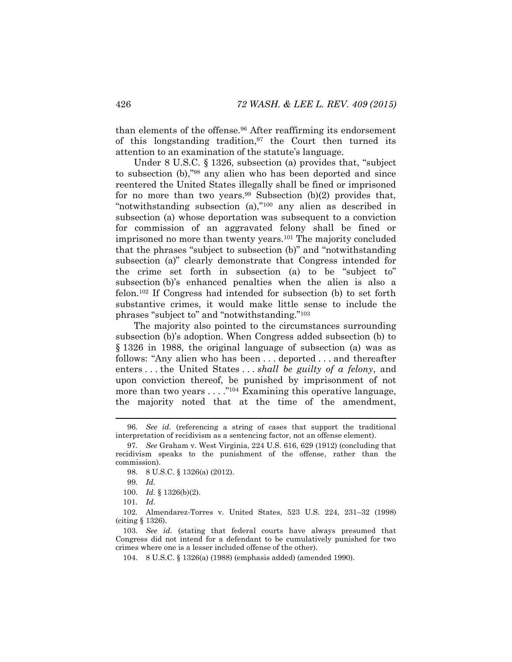than elements of the offense.<sup>96</sup> After reaffirming its endorsement of this longstanding tradition,  $97$  the Court then turned its attention to an examination of the statute's language.

Under 8 U.S.C. § 1326, subsection (a) provides that, "subject to subsection (b),"<sup>98</sup> any alien who has been deported and since reentered the United States illegally shall be fined or imprisoned for no more than two years.<sup>99</sup> Subsection (b)(2) provides that, "notwithstanding subsection (a),"<sup>100</sup> any alien as described in subsection (a) whose deportation was subsequent to a conviction for commission of an aggravated felony shall be fined or imprisoned no more than twenty years.<sup>101</sup> The majority concluded that the phrases "subject to subsection (b)" and "notwithstanding subsection (a)" clearly demonstrate that Congress intended for the crime set forth in subsection (a) to be "subject to" subsection (b)'s enhanced penalties when the alien is also a felon.<sup>102</sup> If Congress had intended for subsection (b) to set forth substantive crimes, it would make little sense to include the phrases "subject to" and "notwithstanding."<sup>103</sup>

The majority also pointed to the circumstances surrounding subsection (b)'s adoption. When Congress added subsection (b) to § 1326 in 1988, the original language of subsection (a) was as follows: "Any alien who has been . . . deported . . . and thereafter enters . . . the United States . . . *shall be guilty of a felony*, and upon conviction thereof, be punished by imprisonment of not more than two years  $\dots$ ."<sup>104</sup> Examining this operative language, the majority noted that at the time of the amendment,

<sup>96</sup>*. See id.* (referencing a string of cases that support the traditional interpretation of recidivism as a sentencing factor, not an offense element).

<sup>97</sup>*. See* Graham v. West Virginia, 224 U.S. 616, 629 (1912) (concluding that recidivism speaks to the punishment of the offense, rather than the commission).

<sup>98.</sup> 8 U.S.C. § 1326(a) (2012).

<sup>99</sup>*. Id.*

<sup>100.</sup> *Id.* § 1326(b)(2).

<sup>101</sup>*. Id.* 

<sup>102</sup>*.* Almendarez-Torres v. United States, 523 U.S. 224, 231–32 (1998) (citing § 1326).

<sup>103</sup>*. See id.* (stating that federal courts have always presumed that Congress did not intend for a defendant to be cumulatively punished for two crimes where one is a lesser included offense of the other).

<sup>104.</sup> 8 U.S.C. § 1326(a) (1988) (emphasis added) (amended 1990).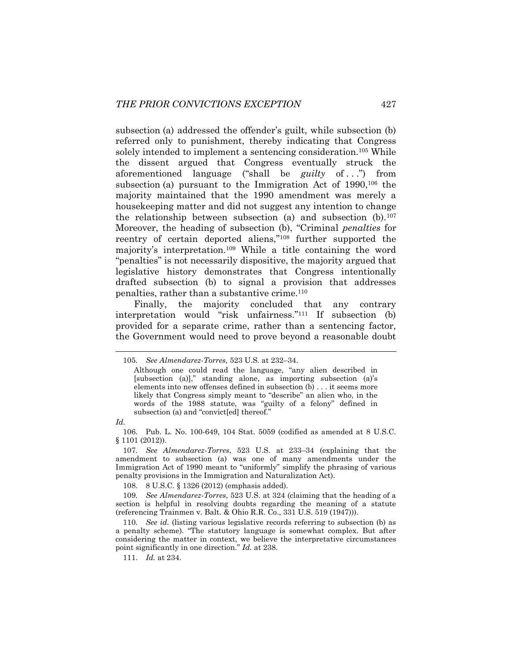subsection (a) addressed the offender's guilt, while subsection (b) referred only to punishment, thereby indicating that Congress solely intended to implement a sentencing consideration.<sup>105</sup> While the dissent argued that Congress eventually struck the aforementioned language ("shall be *guilty* of ...") from subsection (a) pursuant to the Immigration Act of 1990,<sup>106</sup> the majority maintained that the 1990 amendment was merely a housekeeping matter and did not suggest any intention to change the relationship between subsection (a) and subsection  $(b)$ .<sup>107</sup> Moreover, the heading of subsection (b), "Criminal *penalties* for reentry of certain deported aliens,"<sup>108</sup> further supported the majority's interpretation.<sup>109</sup> While a title containing the word "penalties" is not necessarily dispositive, the majority argued that legislative history demonstrates that Congress intentionally drafted subsection (b) to signal a provision that addresses penalties, rather than a substantive crime.<sup>110</sup>

Finally, the majority concluded that any contrary interpretation would "risk unfairness."<sup>111</sup> If subsection (b) provided for a separate crime, rather than a sentencing factor, the Government would need to prove beyond a reasonable doubt

*Id.*

l

108. 8 U.S.C. § 1326 (2012) (emphasis added).

111. *Id.* at 234.

<sup>105</sup>*. See Almendarez-Torres*, 523 U.S. at 232–34.

Although one could read the language, "any alien described in [subsection (a)]," standing alone, as importing subsection (a)'s elements into new offenses defined in subsection (b) . . . it seems more likely that Congress simply meant to "describe" an alien who, in the words of the 1988 statute, was "guilty of a felony" defined in subsection (a) and "convict[ed] thereof."

<sup>106.</sup> Pub. L. No. 100-649, 104 Stat. 5059 (codified as amended at 8 U.S.C. § 1101 (2012)).

<sup>107</sup>*. See Almendarez-Torres*, 523 U.S. at 233–34 (explaining that the amendment to subsection (a) was one of many amendments under the Immigration Act of 1990 meant to "uniformly" simplify the phrasing of various penalty provisions in the Immigration and Naturalization Act).

<sup>109</sup>*. See Almendarez-Torres*, 523 U.S. at 324 (claiming that the heading of a section is helpful in resolving doubts regarding the meaning of a statute (referencing Trainmen v. Balt. & Ohio R.R. Co., 331 U.S. 519 (1947))).

<sup>110</sup>*. See id.* (listing various legislative records referring to subsection (b) as a penalty scheme). "The statutory language is somewhat complex. But after considering the matter in context, we believe the interpretative circumstances point significantly in one direction." *Id.* at 238.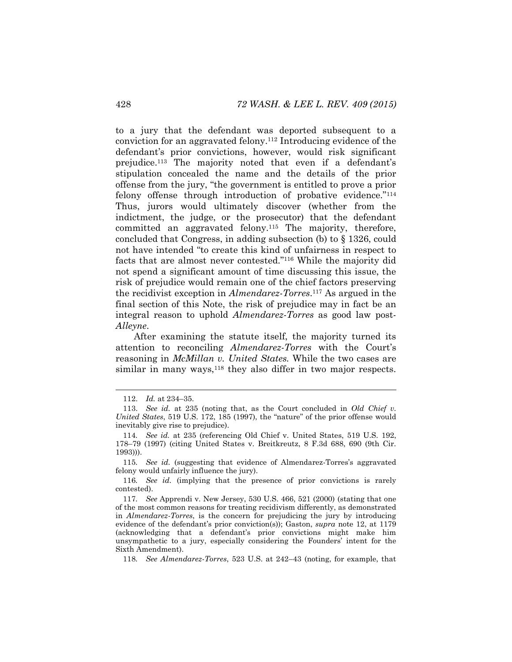to a jury that the defendant was deported subsequent to a conviction for an aggravated felony.<sup>112</sup> Introducing evidence of the defendant's prior convictions, however, would risk significant prejudice.<sup>113</sup> The majority noted that even if a defendant's stipulation concealed the name and the details of the prior offense from the jury, "the government is entitled to prove a prior felony offense through introduction of probative evidence."<sup>114</sup> Thus, jurors would ultimately discover (whether from the indictment, the judge, or the prosecutor) that the defendant committed an aggravated felony.<sup>115</sup> The majority, therefore, concluded that Congress, in adding subsection (b) to § 1326, could not have intended "to create this kind of unfairness in respect to facts that are almost never contested."<sup>116</sup> While the majority did not spend a significant amount of time discussing this issue, the risk of prejudice would remain one of the chief factors preserving the recidivist exception in *Almendarez-Torres*. <sup>117</sup> As argued in the final section of this Note, the risk of prejudice may in fact be an integral reason to uphold *Almendarez-Torres* as good law post-*Alleyne*.

After examining the statute itself, the majority turned its attention to reconciling *Almendarez-Torres* with the Court's reasoning in *McMillan v. United States.* While the two cases are similar in many ways,  $118$  they also differ in two major respects.

<sup>112.</sup> *Id.* at 234–35.

<sup>113.</sup> *See id.* at 235 (noting that, as the Court concluded in *Old Chief v. United States*, 519 U.S. 172, 185 (1997), the "nature" of the prior offense would inevitably give rise to prejudice).

<sup>114</sup>*. See id.* at 235 (referencing Old Chief v. United States, 519 U.S. 192, 178–79 (1997) (citing United States v. Breitkreutz, 8 F.3d 688, 690 (9th Cir. 1993))).

<sup>115</sup>*. See id.* (suggesting that evidence of Almendarez-Torres's aggravated felony would unfairly influence the jury).

<sup>116</sup>*. See id.* (implying that the presence of prior convictions is rarely contested).

<sup>117</sup>*. See* Apprendi v. New Jersey, 530 U.S. 466, 521 (2000) (stating that one of the most common reasons for treating recidivism differently, as demonstrated in *Almendarez-Torres*, is the concern for prejudicing the jury by introducing evidence of the defendant's prior conviction(s)); Gaston, *supra* note [12,](#page-4-0) at 1179 (acknowledging that a defendant's prior convictions might make him unsympathetic to a jury, especially considering the Founders' intent for the Sixth Amendment).

<sup>118</sup>*. See Almendarez-Torres*, 523 U.S. at 242–43 (noting, for example, that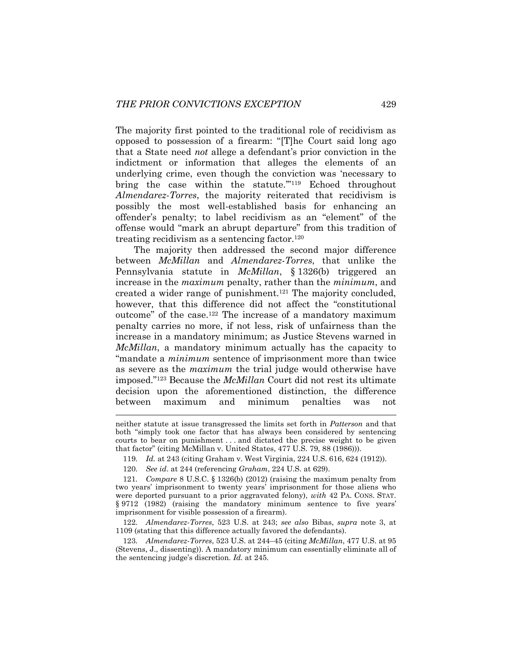The majority first pointed to the traditional role of recidivism as opposed to possession of a firearm: "[T]he Court said long ago that a State need *not* allege a defendant's prior conviction in the indictment or information that alleges the elements of an underlying crime, even though the conviction was 'necessary to bring the case within the statute.'"<sup>119</sup> Echoed throughout *Almendarez-Torres*, the majority reiterated that recidivism is possibly the most well-established basis for enhancing an offender's penalty; to label recidivism as an "element" of the offense would "mark an abrupt departure" from this tradition of treating recidivism as a sentencing factor.<sup>120</sup>

The majority then addressed the second major difference between *McMillan* and *Almendarez-Torres*, that unlike the Pennsylvania statute in *McMillan*, § 1326(b) triggered an increase in the *maximum* penalty, rather than the *minimum*, and created a wider range of punishment.<sup>121</sup> The majority concluded, however, that this difference did not affect the "constitutional outcome" of the case.<sup>122</sup> The increase of a mandatory maximum penalty carries no more, if not less, risk of unfairness than the increase in a mandatory minimum; as Justice Stevens warned in *McMillan*, a mandatory minimum actually has the capacity to "mandate a *minimum* sentence of imprisonment more than twice as severe as the *maximum* the trial judge would otherwise have imposed."<sup>123</sup> Because the *McMillan* Court did not rest its ultimate decision upon the aforementioned distinction, the difference between maximum and minimum penalties was not

122*. Almendarez-Torres*, 523 U.S. at 243; *see also* Bibas, *supra* note 3, at 1109 (stating that this difference actually favored the defendants).

123*. Almendarez-Torres*, 523 U.S. at 244–45 (citing *McMillan*, 477 U.S. at 95 (Stevens, J., dissenting)). A mandatory minimum can essentially eliminate all of the sentencing judge's discretion. *Id.* at 245.

neither statute at issue transgressed the limits set forth in *Patterson* and that both "simply took one factor that has always been considered by sentencing courts to bear on punishment . . . and dictated the precise weight to be given that factor" (citing McMillan v. United States, 477 U.S. 79, 88 (1986))).

<sup>119</sup>*. Id.* at 243 (citing Graham v. West Virginia, 224 U.S. 616, 624 (1912)).

<sup>120</sup>*. See id*. at 244 (referencing *Graham*, 224 U.S. at 629).

<sup>121</sup>*. Compare* 8 U.S.C. § 1326(b) (2012) (raising the maximum penalty from two years' imprisonment to twenty years' imprisonment for those aliens who were deported pursuant to a prior aggravated felony), *with* 42 PA. CONS. STAT. § 9712 (1982) (raising the mandatory minimum sentence to five years' imprisonment for visible possession of a firearm).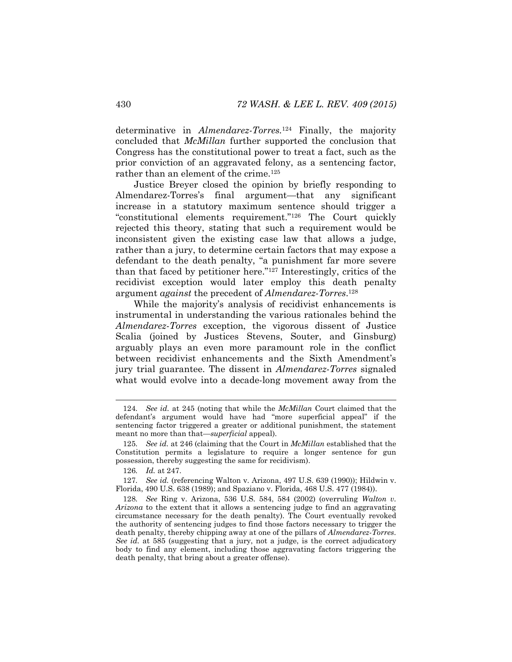determinative in *Almendarez-Torres.*<sup>124</sup> Finally, the majority concluded that *McMillan* further supported the conclusion that Congress has the constitutional power to treat a fact, such as the prior conviction of an aggravated felony, as a sentencing factor, rather than an element of the crime.<sup>125</sup>

Justice Breyer closed the opinion by briefly responding to Almendarez-Torres's final argument—that any significant increase in a statutory maximum sentence should trigger a "constitutional elements requirement."<sup>126</sup> The Court quickly rejected this theory, stating that such a requirement would be inconsistent given the existing case law that allows a judge, rather than a jury, to determine certain factors that may expose a defendant to the death penalty, "a punishment far more severe than that faced by petitioner here."<sup>127</sup> Interestingly, critics of the recidivist exception would later employ this death penalty argument *against* the precedent of *Almendarez-Torres*. 128

While the majority's analysis of recidivist enhancements is instrumental in understanding the various rationales behind the *Almendarez-Torres* exception, the vigorous dissent of Justice Scalia (joined by Justices Stevens, Souter, and Ginsburg) arguably plays an even more paramount role in the conflict between recidivist enhancements and the Sixth Amendment's jury trial guarantee. The dissent in *Almendarez-Torres* signaled what would evolve into a decade-long movement away from the

<sup>124</sup>*. See id.* at 245 (noting that while the *McMillan* Court claimed that the defendant's argument would have had "more superficial appeal" if the sentencing factor triggered a greater or additional punishment, the statement meant no more than that—*superficial* appeal).

<sup>125</sup>*. See id.* at 246 (claiming that the Court in *McMillan* established that the Constitution permits a legislature to require a longer sentence for gun possession, thereby suggesting the same for recidivism).

<sup>126</sup>*. Id.* at 247.

<sup>127</sup>*. See id.* (referencing Walton v. Arizona, 497 U.S. 639 (1990)); Hildwin v. Florida, 490 U.S. 638 (1989); and Spaziano v. Florida, 468 U.S. 477 (1984)).

<sup>128</sup>*. See* Ring v. Arizona, 536 U.S. 584, 584 (2002) (overruling *Walton v. Arizona* to the extent that it allows a sentencing judge to find an aggravating circumstance necessary for the death penalty). The Court eventually revoked the authority of sentencing judges to find those factors necessary to trigger the death penalty, thereby chipping away at one of the pillars of *Almendarez-Torres*. *See id.* at 585 (suggesting that a jury, not a judge, is the correct adjudicatory body to find any element, including those aggravating factors triggering the death penalty, that bring about a greater offense).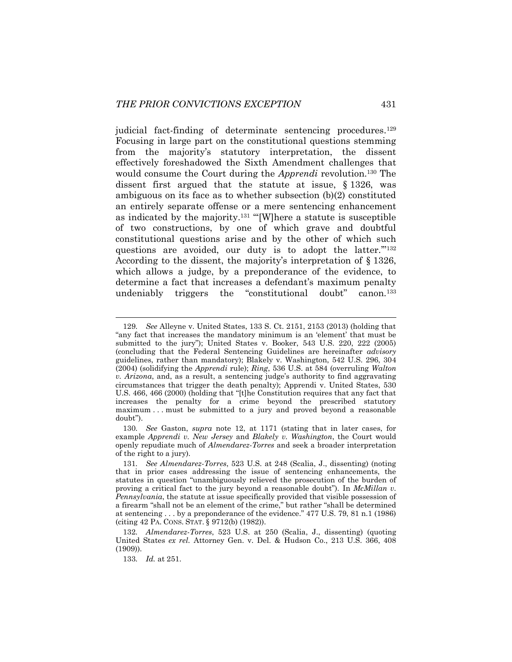judicial fact-finding of determinate sentencing procedures.<sup>129</sup> Focusing in large part on the constitutional questions stemming from the majority's statutory interpretation, the dissent effectively foreshadowed the Sixth Amendment challenges that would consume the Court during the *Apprendi* revolution.<sup>130</sup> The dissent first argued that the statute at issue, § 1326, was ambiguous on its face as to whether subsection (b)(2) constituted an entirely separate offense or a mere sentencing enhancement as indicated by the majority.<sup>131</sup> "'[W]here a statute is susceptible of two constructions, by one of which grave and doubtful constitutional questions arise and by the other of which such questions are avoided, our duty is to adopt the latter."<sup>132</sup> According to the dissent, the majority's interpretation of § 1326, which allows a judge, by a preponderance of the evidence, to determine a fact that increases a defendant's maximum penalty undeniably triggers the "constitutional doubt" canon.<sup>133</sup>

<sup>129</sup>*. See* Alleyne v. United States, 133 S. Ct. 2151, 2153 (2013) (holding that "any fact that increases the mandatory minimum is an 'element' that must be submitted to the jury"); United States v. Booker, 543 U.S. 220, 222 (2005) (concluding that the Federal Sentencing Guidelines are hereinafter *advisory* guidelines, rather than mandatory); Blakely v. Washington, 542 U.S. 296, 304 (2004) (solidifying the *Apprendi* rule); *Ring*, 536 U.S. at 584 (overruling *Walton v. Arizona*, and, as a result, a sentencing judge's authority to find aggravating circumstances that trigger the death penalty); Apprendi v. United States, 530 U.S. 466, 466 (2000) (holding that "[t]he Constitution requires that any fact that increases the penalty for a crime beyond the prescribed statutory maximum . . . must be submitted to a jury and proved beyond a reasonable doubt").

<sup>130</sup>*. See* Gaston, *supra* note [12,](#page-4-0) at 1171 (stating that in later cases, for example *Apprendi v. New Jersey* and *Blakely v. Washington*, the Court would openly repudiate much of *Almendarez-Torres* and seek a broader interpretation of the right to a jury).

<sup>131</sup>*. See Almendarez-Torres*, 523 U.S. at 248 (Scalia, J., dissenting) (noting that in prior cases addressing the issue of sentencing enhancements, the statutes in question "unambiguously relieved the prosecution of the burden of proving a critical fact to the jury beyond a reasonable doubt"). In *McMillan v. Pennsylvania*, the statute at issue specifically provided that visible possession of a firearm "shall not be an element of the crime," but rather "shall be determined at sentencing . . . by a preponderance of the evidence." 477 U.S. 79, 81 n.1 (1986) (citing 42 PA. CONS. STAT. § 9712(b) (1982)).

<sup>132</sup>*. Almendarez-Torres*, 523 U.S. at 250 (Scalia, J., dissenting) (quoting United States *ex rel.* Attorney Gen. v. Del. & Hudson Co., 213 U.S. 366, 408 (1909)).

<sup>133</sup>*. Id.* at 251.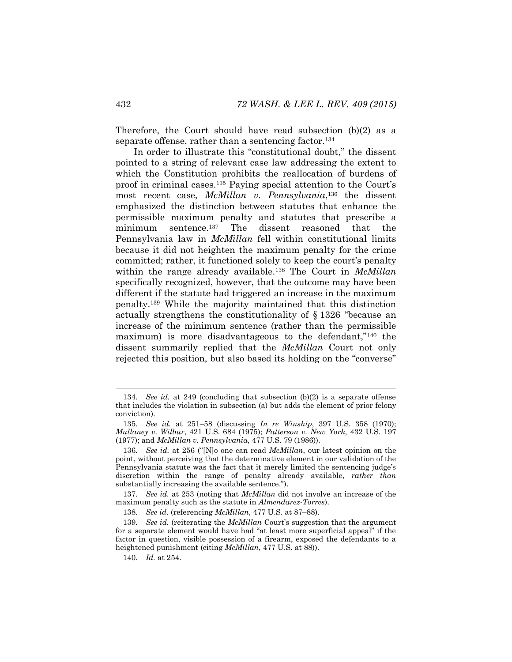Therefore, the Court should have read subsection (b)(2) as a separate offense, rather than a sentencing factor.<sup>134</sup>

In order to illustrate this "constitutional doubt," the dissent pointed to a string of relevant case law addressing the extent to which the Constitution prohibits the reallocation of burdens of proof in criminal cases.<sup>135</sup> Paying special attention to the Court's most recent case, *McMillan v. Pennsylvania*, <sup>136</sup> the dissent emphasized the distinction between statutes that enhance the permissible maximum penalty and statutes that prescribe a minimum sentence.<sup>137</sup> The dissent reasoned that the Pennsylvania law in *McMillan* fell within constitutional limits because it did not heighten the maximum penalty for the crime committed; rather, it functioned solely to keep the court's penalty within the range already available.<sup>138</sup> The Court in *McMillan*  specifically recognized, however, that the outcome may have been different if the statute had triggered an increase in the maximum penalty.<sup>139</sup> While the majority maintained that this distinction actually strengthens the constitutionality of § 1326 "because an increase of the minimum sentence (rather than the permissible maximum) is more disadvantageous to the defendant,"<sup>140</sup> the dissent summarily replied that the *McMillan* Court not only rejected this position, but also based its holding on the "converse"

<sup>134</sup>*. See id.* at 249 (concluding that subsection (b)(2) is a separate offense that includes the violation in subsection (a) but adds the element of prior felony conviction).

<sup>135</sup>*. See id.* at 251–58 (discussing *In re Winship*, 397 U.S. 358 (1970); *Mullaney v. Wilbur*, 421 U.S. 684 (1975); *Patterson v. New York*, 432 U.S. 197 (1977); and *McMillan v. Pennsylvania*, 477 U.S. 79 (1986)).

<sup>136</sup>*. See id.* at 256 ("[N]o one can read *McMillan*, our latest opinion on the point, without perceiving that the determinative element in our validation of the Pennsylvania statute was the fact that it merely limited the sentencing judge's discretion within the range of penalty already available, *rather than* substantially increasing the available sentence.").

<sup>137</sup>*. See id.* at 253 (noting that *McMillan* did not involve an increase of the maximum penalty such as the statute in *Almendarez-Torres*).

<sup>138</sup>*. See id.* (referencing *McMillan*, 477 U.S. at 87–88).

<sup>139</sup>*. See id.* (reiterating the *McMillan* Court's suggestion that the argument for a separate element would have had "at least more superficial appeal" if the factor in question, visible possession of a firearm, exposed the defendants to a heightened punishment (citing *McMillan*, 477 U.S. at 88)).

<sup>140</sup>*. Id.* at 254.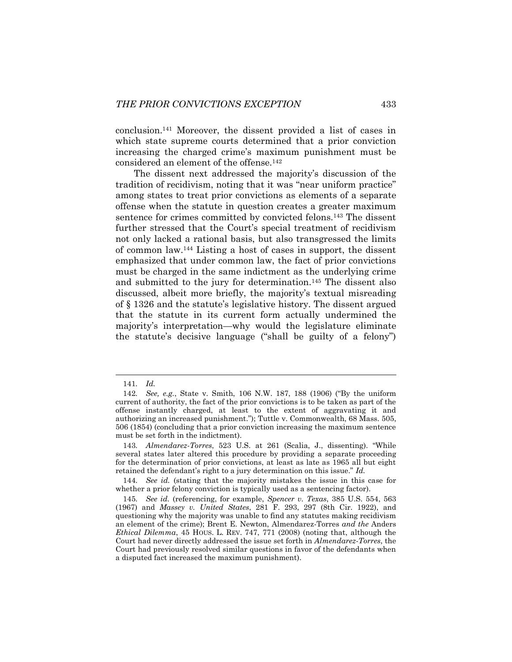conclusion.<sup>141</sup> Moreover, the dissent provided a list of cases in which state supreme courts determined that a prior conviction increasing the charged crime's maximum punishment must be considered an element of the offense.<sup>142</sup>

The dissent next addressed the majority's discussion of the tradition of recidivism, noting that it was "near uniform practice" among states to treat prior convictions as elements of a separate offense when the statute in question creates a greater maximum sentence for crimes committed by convicted felons.<sup>143</sup> The dissent further stressed that the Court's special treatment of recidivism not only lacked a rational basis, but also transgressed the limits of common law.<sup>144</sup> Listing a host of cases in support, the dissent emphasized that under common law, the fact of prior convictions must be charged in the same indictment as the underlying crime and submitted to the jury for determination.<sup>145</sup> The dissent also discussed, albeit more briefly, the majority's textual misreading of § 1326 and the statute's legislative history. The dissent argued that the statute in its current form actually undermined the majority's interpretation—why would the legislature eliminate the statute's decisive language ("shall be guilty of a felony")

<span id="page-25-0"></span><sup>141</sup>*. Id.*

<sup>142</sup>*. See, e.g.*, State v. Smith, 106 N.W. 187, 188 (1906) ("By the uniform current of authority, the fact of the prior convictions is to be taken as part of the offense instantly charged, at least to the extent of aggravating it and authorizing an increased punishment."); Tuttle v. Commonwealth, 68 Mass. 505, 506 (1854) (concluding that a prior conviction increasing the maximum sentence must be set forth in the indictment).

<sup>143</sup>*. Almendarez-Torres*, 523 U.S. at 261 (Scalia, J., dissenting). "While several states later altered this procedure by providing a separate proceeding for the determination of prior convictions, at least as late as 1965 all but eight retained the defendant's right to a jury determination on this issue." *Id.*

<sup>144</sup>*. See id.* (stating that the majority mistakes the issue in this case for whether a prior felony conviction is typically used as a sentencing factor).

<sup>145</sup>*. See id.* (referencing, for example, *Spencer v. Texas*, 385 U.S. 554, 563 (1967) and *Massey v. United States*, 281 F. 293, 297 (8th Cir. 1922), and questioning why the majority was unable to find any statutes making recidivism an element of the crime); Brent E. Newton, Almendarez-Torres *and the* Anders *Ethical Dilemma*, 45 HOUS. L. REV. 747, 771 (2008) (noting that, although the Court had never directly addressed the issue set forth in *Almendarez-Torres*, the Court had previously resolved similar questions in favor of the defendants when a disputed fact increased the maximum punishment).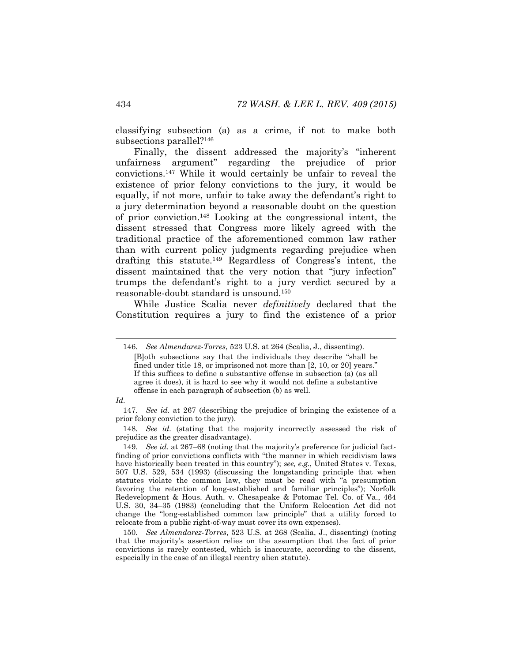classifying subsection (a) as a crime, if not to make both subsections parallel?<sup>146</sup>

Finally, the dissent addressed the majority's "inherent unfairness argument" regarding the prejudice of prior convictions.<sup>147</sup> While it would certainly be unfair to reveal the existence of prior felony convictions to the jury, it would be equally, if not more, unfair to take away the defendant's right to a jury determination beyond a reasonable doubt on the question of prior conviction.<sup>148</sup> Looking at the congressional intent, the dissent stressed that Congress more likely agreed with the traditional practice of the aforementioned common law rather than with current policy judgments regarding prejudice when drafting this statute.<sup>149</sup> Regardless of Congress's intent, the dissent maintained that the very notion that "jury infection" trumps the defendant's right to a jury verdict secured by a reasonable-doubt standard is unsound.<sup>150</sup>

While Justice Scalia never *definitively* declared that the Constitution requires a jury to find the existence of a prior

<sup>146</sup>*. See Almendarez-Torres*, 523 U.S. at 264 (Scalia, J., dissenting). [B]oth subsections say that the individuals they describe "shall be fined under title 18, or imprisoned not more than [2, 10, or 20] years." If this suffices to define a substantive offense in subsection (a) (as all agree it does), it is hard to see why it would not define a substantive offense in each paragraph of subsection (b) as well.

*Id.*

<sup>147</sup>*. See id.* at 267 (describing the prejudice of bringing the existence of a prior felony conviction to the jury).

<sup>148</sup>*. See id.* (stating that the majority incorrectly assessed the risk of prejudice as the greater disadvantage).

<sup>149</sup>*. See id.* at 267–68 (noting that the majority's preference for judicial factfinding of prior convictions conflicts with "the manner in which recidivism laws have historically been treated in this country"); *see, e.g.*, United States v. Texas, 507 U.S. 529, 534 (1993) (discussing the longstanding principle that when statutes violate the common law, they must be read with "a presumption favoring the retention of long-established and familiar principles"); Norfolk Redevelopment & Hous. Auth. v. Chesapeake & Potomac Tel. Co. of Va., 464 U.S. 30, 34–35 (1983) (concluding that the Uniform Relocation Act did not change the "long-established common law principle" that a utility forced to relocate from a public right-of-way must cover its own expenses).

<sup>150</sup>*. See Almendarez-Torres*, 523 U.S. at 268 (Scalia, J., dissenting) (noting that the majority's assertion relies on the assumption that the fact of prior convictions is rarely contested, which is inaccurate, according to the dissent, especially in the case of an illegal reentry alien statute).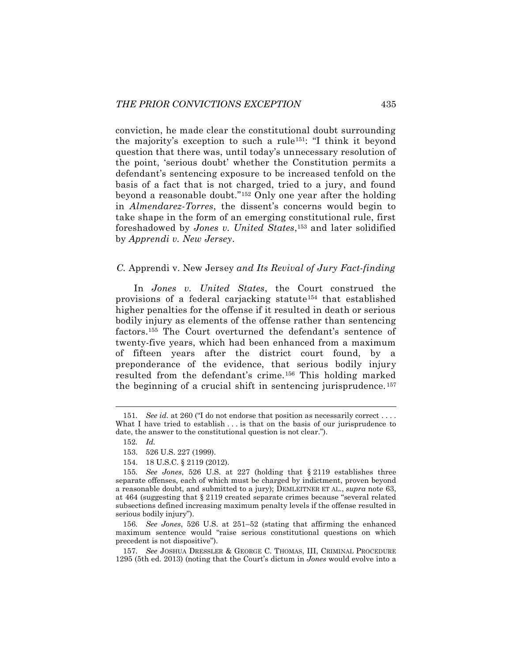conviction, he made clear the constitutional doubt surrounding the majority's exception to such a rule151: "I think it beyond question that there was, until today's unnecessary resolution of the point, 'serious doubt' whether the Constitution permits a defendant's sentencing exposure to be increased tenfold on the basis of a fact that is not charged, tried to a jury, and found beyond a reasonable doubt."<sup>152</sup> Only one year after the holding in *Almendarez-Torres*, the dissent's concerns would begin to take shape in the form of an emerging constitutional rule, first foreshadowed by *Jones v. United States*, <sup>153</sup> and later solidified by *Apprendi v. New Jersey*.

### *C.* Apprendi v. New Jersey *and Its Revival of Jury Fact-finding*

In *Jones v. United States*, the Court construed the provisions of a federal carjacking statute<sup>154</sup> that established higher penalties for the offense if it resulted in death or serious bodily injury as elements of the offense rather than sentencing factors.<sup>155</sup> The Court overturned the defendant's sentence of twenty-five years, which had been enhanced from a maximum of fifteen years after the district court found, by a preponderance of the evidence, that serious bodily injury resulted from the defendant's crime.<sup>156</sup> This holding marked the beginning of a crucial shift in sentencing jurisprudence. <sup>157</sup>

l

154. 18 U.S.C. § 2119 (2012).

<sup>151.</sup> *See id.* at 260 ("I do not endorse that position as necessarily correct . . . . What I have tried to establish . . . is that on the basis of our jurisprudence to date, the answer to the constitutional question is not clear.").

<span id="page-27-0"></span><sup>152</sup>*. Id.* 

<sup>153.</sup> 526 U.S. 227 (1999).

<sup>155</sup>*. See Jones*, 526 U.S. at 227 (holding that § 2119 establishes three separate offenses, each of which must be charged by indictment, proven beyond a reasonable doubt, and submitted to a jury); DEMLEITNER ET AL., *supra* note [63,](#page-13-0)  at 464 (suggesting that § 2119 created separate crimes because "several related subsections defined increasing maximum penalty levels if the offense resulted in serious bodily injury").

<sup>156</sup>*. See Jones*, 526 U.S. at 251–52 (stating that affirming the enhanced maximum sentence would "raise serious constitutional questions on which precedent is not dispositive").

<sup>157</sup>*. See* JOSHUA DRESSLER & GEORGE C. THOMAS, III, CRIMINAL PROCEDURE 1295 (5th ed. 2013) (noting that the Court's dictum in *Jones* would evolve into a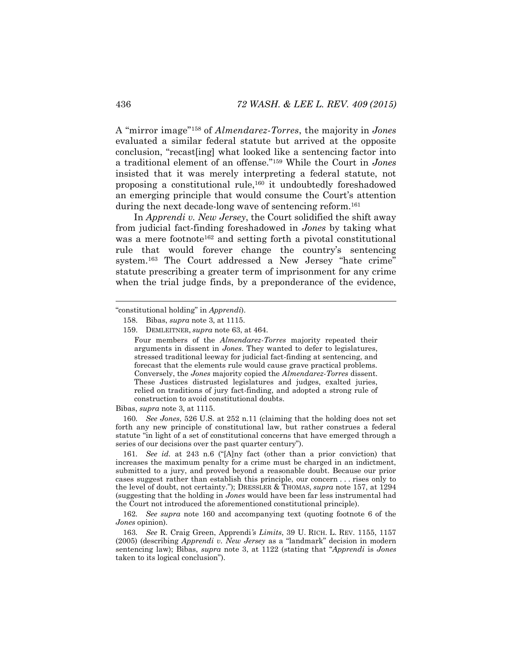A "mirror image"<sup>158</sup> of *Almendarez-Torres*, the majority in *Jones* evaluated a similar federal statute but arrived at the opposite conclusion, "recast[ing] what looked like a sentencing factor into a traditional element of an offense."<sup>159</sup> While the Court in *Jones*  insisted that it was merely interpreting a federal statute, not proposing a constitutional rule,<sup>160</sup> it undoubtedly foreshadowed an emerging principle that would consume the Court's attention during the next decade-long wave of sentencing reform.<sup>161</sup>

<span id="page-28-1"></span><span id="page-28-0"></span>In *Apprendi v. New Jersey*, the Court solidified the shift away from judicial fact-finding foreshadowed in *Jones* by taking what was a mere footnote<sup>162</sup> and setting forth a pivotal constitutional rule that would forever change the country's sentencing system.<sup>163</sup> The Court addressed a New Jersey "hate crime" statute prescribing a greater term of imprisonment for any crime when the trial judge finds, by a preponderance of the evidence,

Bibas, *supra* not[e 3,](#page-2-0) at 1115.

160*. See Jones*, 526 U.S. at 252 n.11 (claiming that the holding does not set forth any new principle of constitutional law, but rather construes a federal statute "in light of a set of constitutional concerns that have emerged through a series of our decisions over the past quarter century").

161*. See id.* at 243 n.6 ("[A]ny fact (other than a prior conviction) that increases the maximum penalty for a crime must be charged in an indictment, submitted to a jury, and proved beyond a reasonable doubt. Because our prior cases suggest rather than establish this principle, our concern . . . rises only to the level of doubt, not certainty."); DRESSLER & THOMAS, *supra* note [157,](#page-27-0) at 1294 (suggesting that the holding in *Jones* would have been far less instrumental had the Court not introduced the aforementioned constitutional principle).

162*. See supra* note [160](#page-28-0) and accompanying text (quoting footnote 6 of the *Jones* opinion).

163*. See* R. Craig Green, Apprendi*'s Limits*, 39 U. RICH. L. REV. 1155, 1157 (2005) (describing *Apprendi v. New Jersey* as a "landmark" decision in modern sentencing law); Bibas, *supra* note [3](#page-2-0), at 1122 (stating that "*Apprendi* is *Jones*  taken to its logical conclusion").

<sup>&</sup>quot;constitutional holding" in *Apprendi*).

<sup>158.</sup> Bibas, *supra* not[e 3,](#page-2-0) at 1115.

<sup>159.</sup> DEMLEITNER, *supra* note [63,](#page-13-0) at 464.

Four members of the *Almendarez-Torres* majority repeated their arguments in dissent in *Jones*. They wanted to defer to legislatures, stressed traditional leeway for judicial fact-finding at sentencing, and forecast that the elements rule would cause grave practical problems. Conversely, the *Jones* majority copied the *Almendarez-Torres* dissent. These Justices distrusted legislatures and judges, exalted juries, relied on traditions of jury fact-finding, and adopted a strong rule of construction to avoid constitutional doubts.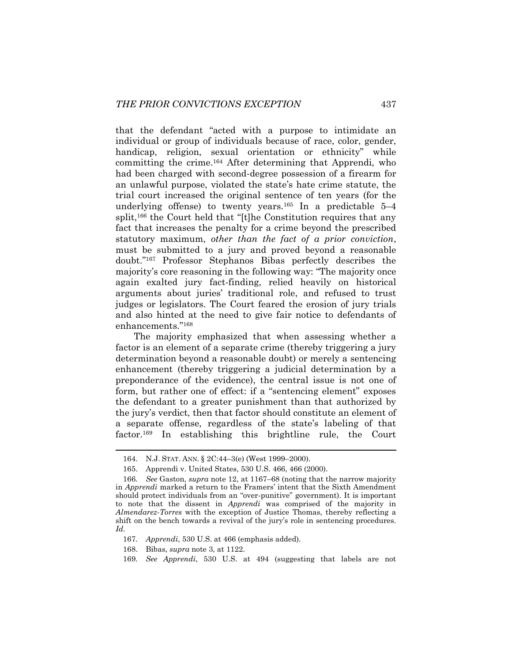that the defendant "acted with a purpose to intimidate an individual or group of individuals because of race, color, gender, handicap, religion, sexual orientation or ethnicity" while committing the crime.<sup>164</sup> After determining that Apprendi, who had been charged with second-degree possession of a firearm for an unlawful purpose, violated the state's hate crime statute, the trial court increased the original sentence of ten years (for the underlying offense) to twenty years.<sup>165</sup> In a predictable  $5-4$ split,<sup>166</sup> the Court held that "[t]he Constitution requires that any fact that increases the penalty for a crime beyond the prescribed statutory maximum, *other than the fact of a prior conviction*, must be submitted to a jury and proved beyond a reasonable doubt."<sup>167</sup> Professor Stephanos Bibas perfectly describes the majority's core reasoning in the following way: "The majority once again exalted jury fact-finding, relied heavily on historical arguments about juries' traditional role, and refused to trust judges or legislators. The Court feared the erosion of jury trials and also hinted at the need to give fair notice to defendants of enhancements."<sup>168</sup>

The majority emphasized that when assessing whether a factor is an element of a separate crime (thereby triggering a jury determination beyond a reasonable doubt) or merely a sentencing enhancement (thereby triggering a judicial determination by a preponderance of the evidence), the central issue is not one of form, but rather one of effect: if a "sentencing element" exposes the defendant to a greater punishment than that authorized by the jury's verdict, then that factor should constitute an element of a separate offense, regardless of the state's labeling of that factor.<sup>169</sup> In establishing this brightline rule, the Court

167*. Apprendi*, 530 U.S. at 466 (emphasis added).

168. Bibas, *supra* not[e 3,](#page-2-0) at 1122.

<sup>164.</sup> N.J. STAT. ANN. § 2C:44–3(e) (West 1999–2000).

<sup>165.</sup> Apprendi v. United States, 530 U.S. 466, 466 (2000).

<sup>166</sup>*. See* Gaston, *supra* note [12,](#page-4-0) at 1167–68 (noting that the narrow majority in *Apprendi* marked a return to the Framers' intent that the Sixth Amendment should protect individuals from an "over-punitive" government). It is important to note that the dissent in *Apprendi* was comprised of the majority in *Almendarez-Torres* with the exception of Justice Thomas, thereby reflecting a shift on the bench towards a revival of the jury's role in sentencing procedures. *Id.* 

<sup>169</sup>*. See Apprendi*, 530 U.S. at 494 (suggesting that labels are not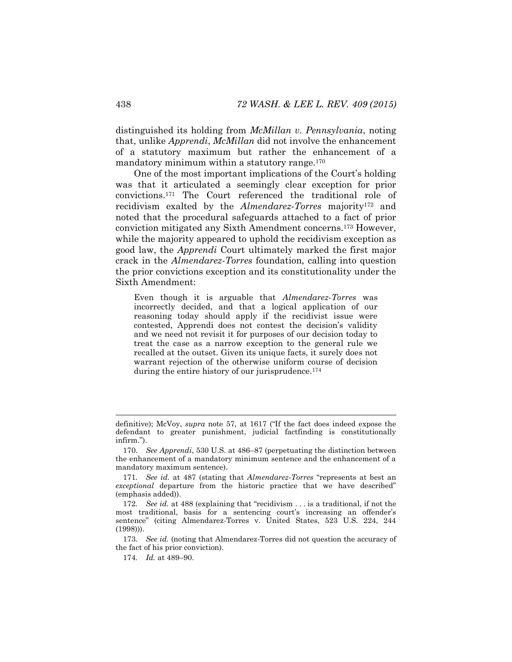distinguished its holding from *McMillan v. Pennsylvania*, noting that, unlike *Apprendi*, *McMillan* did not involve the enhancement of a statutory maximum but rather the enhancement of a mandatory minimum within a statutory range.<sup>170</sup>

One of the most important implications of the Court's holding was that it articulated a seemingly clear exception for prior convictions.<sup>171</sup> The Court referenced the traditional role of recidivism exalted by the *Almendarez-Torres* majority<sup>172</sup> and noted that the procedural safeguards attached to a fact of prior conviction mitigated any Sixth Amendment concerns.<sup>173</sup> However, while the majority appeared to uphold the recidivism exception as good law, the *Apprendi* Court ultimately marked the first major crack in the *Almendarez-Torres* foundation, calling into question the prior convictions exception and its constitutionality under the Sixth Amendment:

<span id="page-30-0"></span>Even though it is arguable that *Almendarez-Torres* was incorrectly decided, and that a logical application of our reasoning today should apply if the recidivist issue were contested, Apprendi does not contest the decision's validity and we need not revisit it for purposes of our decision today to treat the case as a narrow exception to the general rule we recalled at the outset. Given its unique facts, it surely does not warrant rejection of the otherwise uniform course of decision during the entire history of our jurisprudence.<sup>174</sup>

173*. See id.* (noting that Almendarez-Torres did not question the accuracy of the fact of his prior conviction).

174*. Id.* at 489–90.

definitive); McVoy, *supra* note [57](#page-12-0), at 1617 ("If the fact does indeed expose the defendant to greater punishment, judicial factfinding is constitutionally infirm.").

<sup>170</sup>*. See Apprendi*, 530 U.S. at 486–87 (perpetuating the distinction between the enhancement of a mandatory minimum sentence and the enhancement of a mandatory maximum sentence).

<sup>171</sup>*. See id.* at 487 (stating that *Almendarez-Torres* "represents at best an *exceptional* departure from the historic practice that we have described" (emphasis added)).

<sup>172</sup>*. See id.* at 488 (explaining that "recidivism . . . is a traditional, if not the most traditional, basis for a sentencing court's increasing an offender's sentence" (citing Almendarez-Torres v. United States, 523 U.S. 224, 244 (1998))).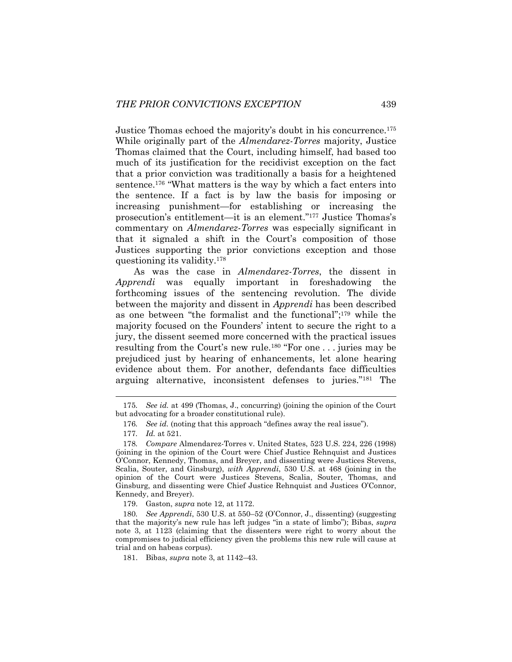Justice Thomas echoed the majority's doubt in his concurrence.<sup>175</sup> While originally part of the *Almendarez-Torres* majority, Justice Thomas claimed that the Court, including himself, had based too much of its justification for the recidivist exception on the fact that a prior conviction was traditionally a basis for a heightened sentence.<sup>176</sup> "What matters is the way by which a fact enters into the sentence. If a fact is by law the basis for imposing or increasing punishment—for establishing or increasing the prosecution's entitlement—it is an element."<sup>177</sup> Justice Thomas's commentary on *Almendarez-Torres* was especially significant in that it signaled a shift in the Court's composition of those Justices supporting the prior convictions exception and those questioning its validity.<sup>178</sup>

As was the case in *Almendarez-Torres*, the dissent in *Apprendi* was equally important in foreshadowing the forthcoming issues of the sentencing revolution. The divide between the majority and dissent in *Apprendi* has been described as one between "the formalist and the functional"; <sup>179</sup> while the majority focused on the Founders' intent to secure the right to a jury, the dissent seemed more concerned with the practical issues resulting from the Court's new rule.<sup>180</sup> "For one . . . juries may be prejudiced just by hearing of enhancements, let alone hearing evidence about them. For another, defendants face difficulties arguing alternative, inconsistent defenses to juries."<sup>181</sup> The

<sup>175</sup>*. See id.* at 499 (Thomas, J., concurring) (joining the opinion of the Court but advocating for a broader constitutional rule).

<sup>176</sup>*. See id.* (noting that this approach "defines away the real issue").

<sup>177</sup>*. Id.* at 521.

<sup>178</sup>*. Compare* Almendarez-Torres v. United States, 523 U.S. 224, 226 (1998) (joining in the opinion of the Court were Chief Justice Rehnquist and Justices O'Connor, Kennedy, Thomas, and Breyer, and dissenting were Justices Stevens, Scalia, Souter, and Ginsburg), *with Apprendi*, 530 U.S. at 468 (joining in the opinion of the Court were Justices Stevens, Scalia, Souter, Thomas, and Ginsburg, and dissenting were Chief Justice Rehnquist and Justices O'Connor, Kennedy, and Breyer).

<sup>179.</sup> Gaston, *supra* not[e 12,](#page-4-0) at 1172.

<sup>180</sup>*. See Apprendi*, 530 U.S. at 550–52 (O'Connor, J., dissenting) (suggesting that the majority's new rule has left judges "in a state of limbo"); Bibas, *supra*  note [3,](#page-2-0) at 1123 (claiming that the dissenters were right to worry about the compromises to judicial efficiency given the problems this new rule will cause at trial and on habeas corpus).

<sup>181.</sup> Bibas, *supra* not[e 3,](#page-2-0) at 1142–43.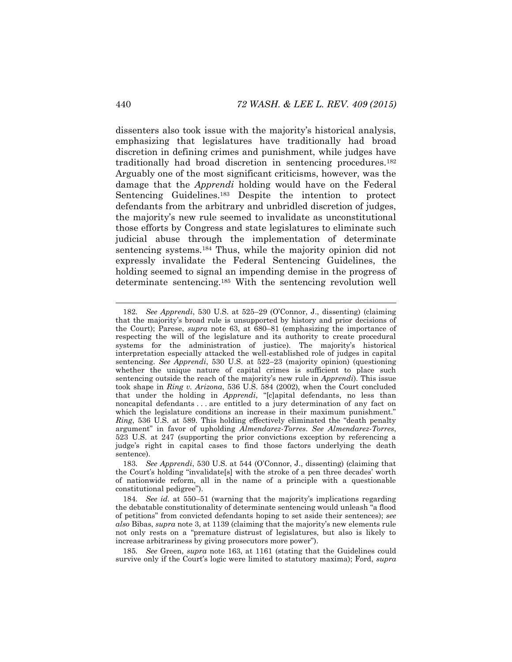dissenters also took issue with the majority's historical analysis, emphasizing that legislatures have traditionally had broad discretion in defining crimes and punishment, while judges have traditionally had broad discretion in sentencing procedures.<sup>182</sup> Arguably one of the most significant criticisms, however, was the damage that the *Apprendi* holding would have on the Federal Sentencing Guidelines.<sup>183</sup> Despite the intention to protect defendants from the arbitrary and unbridled discretion of judges, the majority's new rule seemed to invalidate as unconstitutional those efforts by Congress and state legislatures to eliminate such judicial abuse through the implementation of determinate sentencing systems.<sup>184</sup> Thus, while the majority opinion did not expressly invalidate the Federal Sentencing Guidelines, the holding seemed to signal an impending demise in the progress of determinate sentencing.<sup>185</sup> With the sentencing revolution well

<sup>182</sup>*. See Apprendi*, 530 U.S. at 525–29 (O'Connor, J., dissenting) (claiming that the majority's broad rule is unsupported by history and prior decisions of the Court); Parese, *supra* note [63,](#page-13-0) at 680–81 (emphasizing the importance of respecting the will of the legislature and its authority to create procedural systems for the administration of justice). The majority's historical interpretation especially attacked the well-established role of judges in capital sentencing. *See Apprendi*, 530 U.S. at 522–23 (majority opinion) (questioning whether the unique nature of capital crimes is sufficient to place such sentencing outside the reach of the majority's new rule in *Apprendi*). This issue took shape in *Ring v. Arizona*, 536 U.S. 584 (2002), when the Court concluded that under the holding in *Apprendi*, "[c]apital defendants, no less than noncapital defendants . . . are entitled to a jury determination of any fact on which the legislature conditions an increase in their maximum punishment." *Ring*, 536 U.S. at 589. This holding effectively eliminated the "death penalty argument" in favor of upholding *Almendarez-Torres*. *See Almendarez-Torres*, 523 U.S. at 247 (supporting the prior convictions exception by referencing a judge's right in capital cases to find those factors underlying the death sentence).

<sup>183</sup>*. See Apprendi*, 530 U.S. at 544 (O'Connor, J., dissenting) (claiming that the Court's holding "invalidate[s] with the stroke of a pen three decades' worth of nationwide reform, all in the name of a principle with a questionable constitutional pedigree").

<sup>184</sup>*. See id.* at 550–51 (warning that the majority's implications regarding the debatable constitutionality of determinate sentencing would unleash "a flood of petitions" from convicted defendants hoping to set aside their sentences); *see also* Bibas, *supra* not[e 3](#page-2-0), at 1139 (claiming that the majority's new elements rule not only rests on a "premature distrust of legislatures, but also is likely to increase arbitrariness by giving prosecutors more power").

<sup>185</sup>*. See* Green, *supra* note [163,](#page-28-1) at 1161 (stating that the Guidelines could survive only if the Court's logic were limited to statutory maxima); Ford, *supra*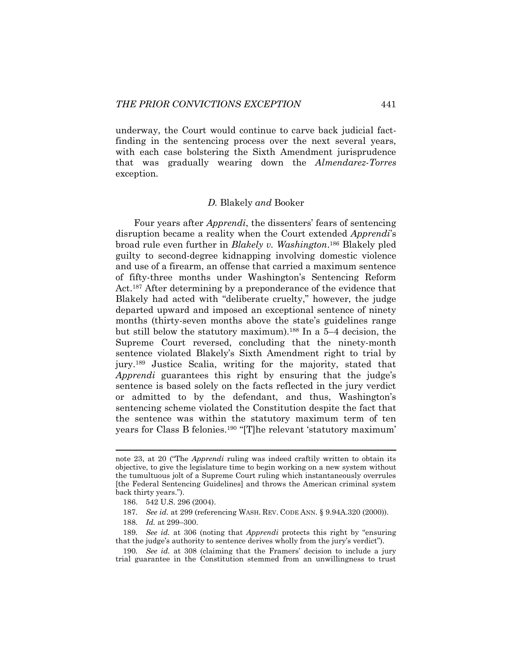underway, the Court would continue to carve back judicial factfinding in the sentencing process over the next several years, with each case bolstering the Sixth Amendment jurisprudence that was gradually wearing down the *Almendarez-Torres*  exception.

#### *D.* Blakely *and* Booker

Four years after *Apprendi*, the dissenters' fears of sentencing disruption became a reality when the Court extended *Apprendi*'s broad rule even further in *Blakely v. Washington*. <sup>186</sup> Blakely pled guilty to second-degree kidnapping involving domestic violence and use of a firearm, an offense that carried a maximum sentence of fifty-three months under Washington's Sentencing Reform Act.<sup>187</sup> After determining by a preponderance of the evidence that Blakely had acted with "deliberate cruelty," however, the judge departed upward and imposed an exceptional sentence of ninety months (thirty-seven months above the state's guidelines range but still below the statutory maximum).<sup>188</sup> In a 5–4 decision, the Supreme Court reversed, concluding that the ninety-month sentence violated Blakely's Sixth Amendment right to trial by jury.<sup>189</sup> Justice Scalia, writing for the majority, stated that *Apprendi* guarantees this right by ensuring that the judge's sentence is based solely on the facts reflected in the jury verdict or admitted to by the defendant, and thus, Washington's sentencing scheme violated the Constitution despite the fact that the sentence was within the statutory maximum term of ten years for Class B felonies.<sup>190</sup> "[T]he relevant 'statutory maximum'

note [23](#page-6-1), at 20 ("The *Apprendi* ruling was indeed craftily written to obtain its objective, to give the legislature time to begin working on a new system without the tumultuous jolt of a Supreme Court ruling which instantaneously overrules [the Federal Sentencing Guidelines] and throws the American criminal system back thirty years.").

<sup>186.</sup> 542 U.S. 296 (2004).

<sup>187</sup>*. See id.* at 299 (referencing WASH. REV. CODE ANN. § 9.94A.320 (2000)).

<sup>188</sup>*. Id.* at 299–300.

<sup>189</sup>*. See id.* at 306 (noting that *Apprendi* protects this right by "ensuring that the judge's authority to sentence derives wholly from the jury's verdict").

<sup>190</sup>*. See id.* at 308 (claiming that the Framers' decision to include a jury trial guarantee in the Constitution stemmed from an unwillingness to trust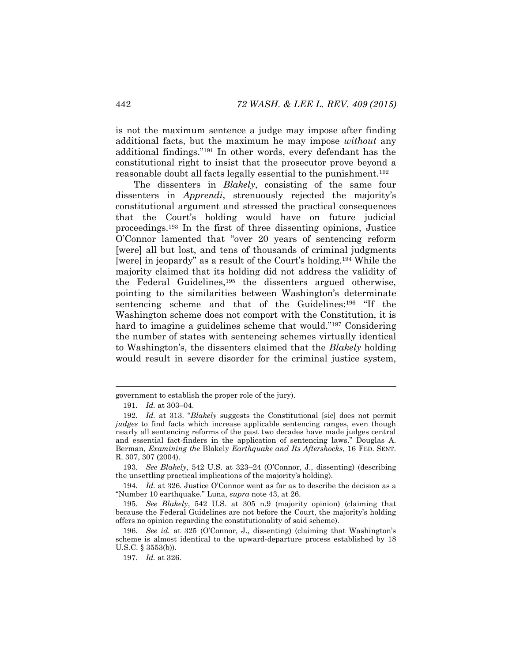is not the maximum sentence a judge may impose after finding additional facts, but the maximum he may impose *without* any additional findings."<sup>191</sup> In other words, every defendant has the constitutional right to insist that the prosecutor prove beyond a reasonable doubt all facts legally essential to the punishment.<sup>192</sup>

The dissenters in *Blakely*, consisting of the same four dissenters in *Apprendi*, strenuously rejected the majority's constitutional argument and stressed the practical consequences that the Court's holding would have on future judicial proceedings.<sup>193</sup> In the first of three dissenting opinions, Justice O'Connor lamented that "over 20 years of sentencing reform [were] all but lost, and tens of thousands of criminal judgments [were] in jeopardy" as a result of the Court's holding.<sup>194</sup> While the majority claimed that its holding did not address the validity of the Federal Guidelines,<sup>195</sup> the dissenters argued otherwise, pointing to the similarities between Washington's determinate sentencing scheme and that of the Guidelines:<sup>196</sup> "If the Washington scheme does not comport with the Constitution, it is hard to imagine a guidelines scheme that would."<sup>197</sup> Considering the number of states with sentencing schemes virtually identical to Washington's, the dissenters claimed that the *Blakely* holding would result in severe disorder for the criminal justice system,

l

193*. See Blakely*, 542 U.S. at 323–24 (O'Connor, J., dissenting) (describing the unsettling practical implications of the majority's holding).

194*. Id.* at 326. Justice O'Connor went as far as to describe the decision as a "Number 10 earthquake." Luna, *supra* note [43,](#page-9-1) at 26.

195*. See Blakely*, 542 U.S. at 305 n.9 (majority opinion) (claiming that because the Federal Guidelines are not before the Court, the majority's holding offers no opinion regarding the constitutionality of said scheme).

196*. See id.* at 325 (O'Connor, J., dissenting) (claiming that Washington's scheme is almost identical to the upward-departure process established by 18 U.S.C. § 3553(b)).

197*. Id.* at 326.

government to establish the proper role of the jury).

<sup>191</sup>*. Id.* at 303–04.

<sup>192</sup>*. Id.* at 313. "*Blakely* suggests the Constitutional [sic] does not permit *judges* to find facts which increase applicable sentencing ranges, even though nearly all sentencing reforms of the past two decades have made judges central and essential fact-finders in the application of sentencing laws." Douglas A. Berman, *Examining the* Blakely *Earthquake and Its Aftershocks*, 16 FED. SENT. R. 307, 307 (2004).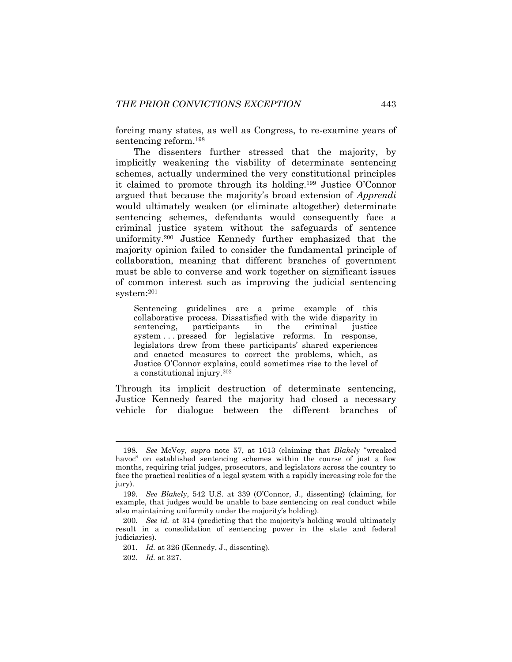forcing many states, as well as Congress, to re-examine years of sentencing reform.<sup>198</sup>

The dissenters further stressed that the majority, by implicitly weakening the viability of determinate sentencing schemes, actually undermined the very constitutional principles it claimed to promote through its holding.<sup>199</sup> Justice O'Connor argued that because the majority's broad extension of *Apprendi*  would ultimately weaken (or eliminate altogether) determinate sentencing schemes, defendants would consequently face a criminal justice system without the safeguards of sentence uniformity.<sup>200</sup> Justice Kennedy further emphasized that the majority opinion failed to consider the fundamental principle of collaboration, meaning that different branches of government must be able to converse and work together on significant issues of common interest such as improving the judicial sentencing system:<sup>201</sup>

Sentencing guidelines are a prime example of this collaborative process. Dissatisfied with the wide disparity in sentencing, participants in the criminal justice system ... pressed for legislative reforms. In response, legislators drew from these participants' shared experiences and enacted measures to correct the problems, which, as Justice O'Connor explains, could sometimes rise to the level of a constitutional injury.<sup>202</sup>

Through its implicit destruction of determinate sentencing, Justice Kennedy feared the majority had closed a necessary vehicle for dialogue between the different branches of

<sup>198</sup>*. See* McVoy, *supra* note [57,](#page-12-0) at 1613 (claiming that *Blakely* "wreaked havoc" on established sentencing schemes within the course of just a few months, requiring trial judges, prosecutors, and legislators across the country to face the practical realities of a legal system with a rapidly increasing role for the jury).

<sup>199</sup>*. See Blakely*, 542 U.S. at 339 (O'Connor, J., dissenting) (claiming, for example, that judges would be unable to base sentencing on real conduct while also maintaining uniformity under the majority's holding).

<sup>200</sup>*. See id.* at 314 (predicting that the majority's holding would ultimately result in a consolidation of sentencing power in the state and federal judiciaries).

<sup>201</sup>*. Id.* at 326 (Kennedy, J., dissenting).

<sup>202</sup>*. Id.* at 327.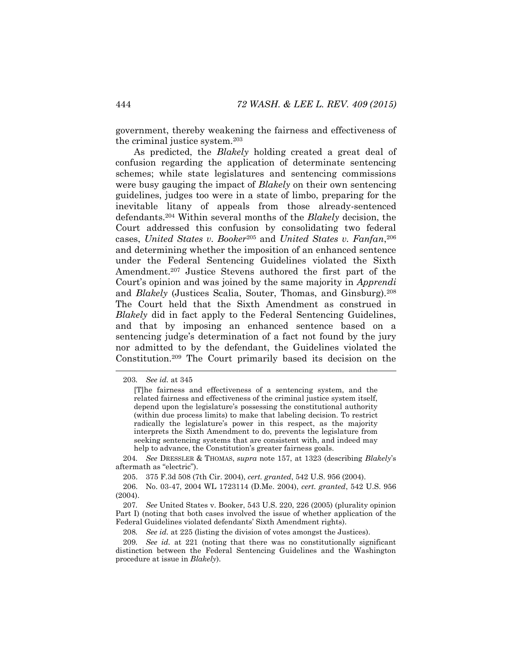government, thereby weakening the fairness and effectiveness of the criminal justice system.<sup>203</sup>

As predicted, the *Blakely* holding created a great deal of confusion regarding the application of determinate sentencing schemes; while state legislatures and sentencing commissions were busy gauging the impact of *Blakely* on their own sentencing guidelines, judges too were in a state of limbo, preparing for the inevitable litany of appeals from those already-sentenced defendants.<sup>204</sup> Within several months of the *Blakely* decision, the Court addressed this confusion by consolidating two federal cases, *United States v. Booker*<sup>205</sup> and *United States v. Fanfan*, 206 and determining whether the imposition of an enhanced sentence under the Federal Sentencing Guidelines violated the Sixth Amendment.<sup>207</sup> Justice Stevens authored the first part of the Court's opinion and was joined by the same majority in *Apprendi*  and *Blakely* (Justices Scalia, Souter, Thomas, and Ginsburg).<sup>208</sup> The Court held that the Sixth Amendment as construed in *Blakely* did in fact apply to the Federal Sentencing Guidelines, and that by imposing an enhanced sentence based on a sentencing judge's determination of a fact not found by the jury nor admitted to by the defendant, the Guidelines violated the Constitution.<sup>209</sup> The Court primarily based its decision on the

<sup>203</sup>*. See id.* at 345

<sup>[</sup>T]he fairness and effectiveness of a sentencing system, and the related fairness and effectiveness of the criminal justice system itself, depend upon the legislature's possessing the constitutional authority (within due process limits) to make that labeling decision. To restrict radically the legislature's power in this respect, as the majority interprets the Sixth Amendment to do, prevents the legislature from seeking sentencing systems that are consistent with, and indeed may help to advance, the Constitution's greater fairness goals.

<sup>204</sup>*. See* DRESSLER & THOMAS, *supra* note [157,](#page-27-0) at 1323 (describing *Blakely*'s aftermath as "electric").

<sup>205.</sup> 375 F.3d 508 (7th Cir. 2004), *cert. granted*, 542 U.S. 956 (2004).

<sup>206.</sup> No. 03-47, 2004 WL 1723114 (D.Me. 2004), *cert. granted*, 542 U.S. 956 (2004).

<sup>207</sup>*. See* United States v. Booker, 543 U.S. 220, 226 (2005) (plurality opinion Part I) (noting that both cases involved the issue of whether application of the Federal Guidelines violated defendants' Sixth Amendment rights).

<sup>208</sup>*. See id.* at 225 (listing the division of votes amongst the Justices).

<sup>209</sup>*. See id.* at 221 (noting that there was no constitutionally significant distinction between the Federal Sentencing Guidelines and the Washington procedure at issue in *Blakely*).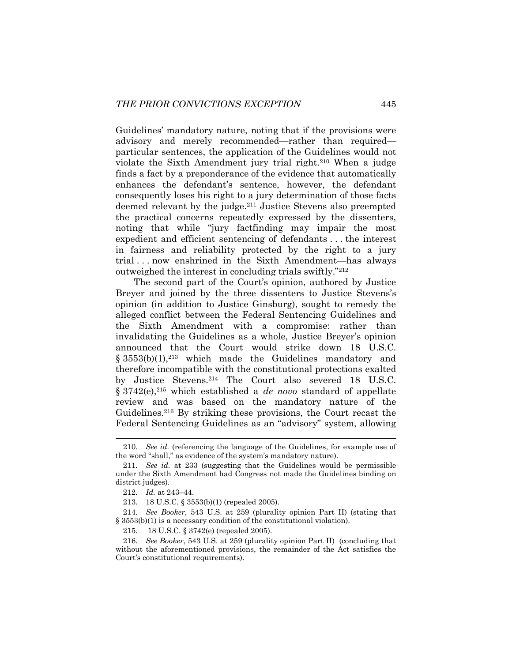Guidelines' mandatory nature, noting that if the provisions were advisory and merely recommended—rather than required particular sentences, the application of the Guidelines would not violate the Sixth Amendment jury trial right.<sup>210</sup> When a judge finds a fact by a preponderance of the evidence that automatically enhances the defendant's sentence, however, the defendant consequently loses his right to a jury determination of those facts deemed relevant by the judge.<sup>211</sup> Justice Stevens also preempted the practical concerns repeatedly expressed by the dissenters, noting that while "jury factfinding may impair the most expedient and efficient sentencing of defendants . . . the interest in fairness and reliability protected by the right to a jury trial . . . now enshrined in the Sixth Amendment—has always outweighed the interest in concluding trials swiftly."<sup>212</sup>

The second part of the Court's opinion, authored by Justice Breyer and joined by the three dissenters to Justice Stevens's opinion (in addition to Justice Ginsburg), sought to remedy the alleged conflict between the Federal Sentencing Guidelines and the Sixth Amendment with a compromise: rather than invalidating the Guidelines as a whole, Justice Breyer's opinion announced that the Court would strike down 18 U.S.C.  $§ 3553(b)(1),$ <sup>213</sup> which made the Guidelines mandatory and therefore incompatible with the constitutional protections exalted by Justice Stevens.<sup>214</sup> The Court also severed 18 U.S.C. § 3742(e),<sup>215</sup> which established a *de novo* standard of appellate review and was based on the mandatory nature of the Guidelines.<sup>216</sup> By striking these provisions, the Court recast the Federal Sentencing Guidelines as an "advisory" system, allowing

<sup>210</sup>*. See id.* (referencing the language of the Guidelines, for example use of the word "shall," as evidence of the system's mandatory nature).

<sup>211</sup>*. See id.* at 233 (suggesting that the Guidelines would be permissible under the Sixth Amendment had Congress not made the Guidelines binding on district judges).

<sup>212</sup>*. Id.* at 243–44.

<sup>213.</sup> 18 U.S.C. § 3553(b)(1) (repealed 2005).

<sup>214</sup>*. See Booker*, 543 U.S. at 259 (plurality opinion Part II) (stating that § 3553(b)(1) is a necessary condition of the constitutional violation).

<sup>215.</sup> 18 U.S.C. § 3742(e) (repealed 2005).

<sup>216</sup>*. See Booker*, 543 U.S. at 259 (plurality opinion Part II) (concluding that without the aforementioned provisions, the remainder of the Act satisfies the Court's constitutional requirements).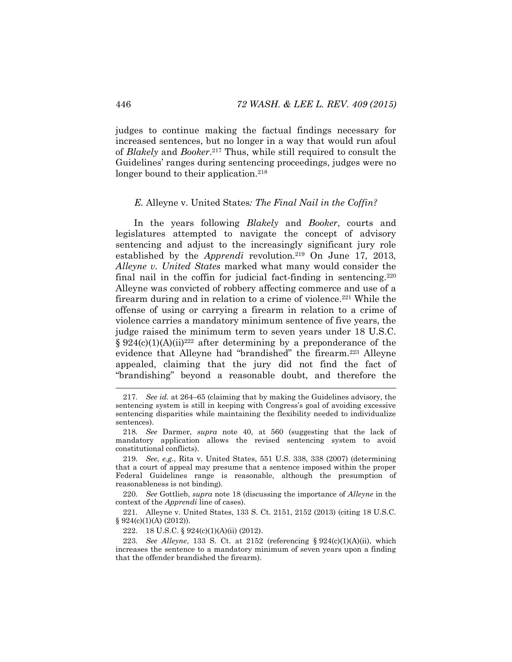judges to continue making the factual findings necessary for increased sentences, but no longer in a way that would run afoul of *Blakely* and *Booker*. <sup>217</sup> Thus, while still required to consult the Guidelines' ranges during sentencing proceedings, judges were no longer bound to their application.<sup>218</sup>

#### *E.* Alleyne v. United States*: The Final Nail in the Coffin?*

In the years following *Blakely* and *Booker*, courts and legislatures attempted to navigate the concept of advisory sentencing and adjust to the increasingly significant jury role established by the *Apprendi* revolution.<sup>219</sup> On June 17, 2013, *Alleyne v. United States* marked what many would consider the final nail in the coffin for judicial fact-finding in sentencing.<sup>220</sup> Alleyne was convicted of robbery affecting commerce and use of a firearm during and in relation to a crime of violence.<sup>221</sup> While the offense of using or carrying a firearm in relation to a crime of violence carries a mandatory minimum sentence of five years, the judge raised the minimum term to seven years under 18 U.S.C.  $\S 924(c)(1)(A)(ii)^{222}$  after determining by a preponderance of the evidence that Alleyne had "brandished" the firearm.<sup>223</sup> Alleyne appealed, claiming that the jury did not find the fact of "brandishing" beyond a reasonable doubt, and therefore the

220*. See* Gottlieb, *supra* note [18](#page-5-1) (discussing the importance of *Alleyne* in the context of the *Apprendi* line of cases).

221. Alleyne v. United States, 133 S. Ct. 2151, 2152 (2013) (citing 18 U.S.C.  $§ 924(c)(1)(A) (2012)$ .

222. 18 U.S.C. § 924(c)(1)(A)(ii) (2012).

223*. See Alleyne*, 133 S. Ct. at 2152 (referencing § 924(c)(1)(A)(ii), which increases the sentence to a mandatory minimum of seven years upon a finding that the offender brandished the firearm).

<sup>217</sup>*. See id.* at 264–65 (claiming that by making the Guidelines advisory, the sentencing system is still in keeping with Congress's goal of avoiding excessive sentencing disparities while maintaining the flexibility needed to individualize sentences).

<sup>218</sup>*. See* Darmer, *supra* note [40,](#page-9-0) at 560 (suggesting that the lack of mandatory application allows the revised sentencing system to avoid constitutional conflicts).

<sup>219</sup>*. See, e.g.*, Rita v. United States, 551 U.S. 338, 338 (2007) (determining that a court of appeal may presume that a sentence imposed within the proper Federal Guidelines range is reasonable, although the presumption of reasonableness is not binding).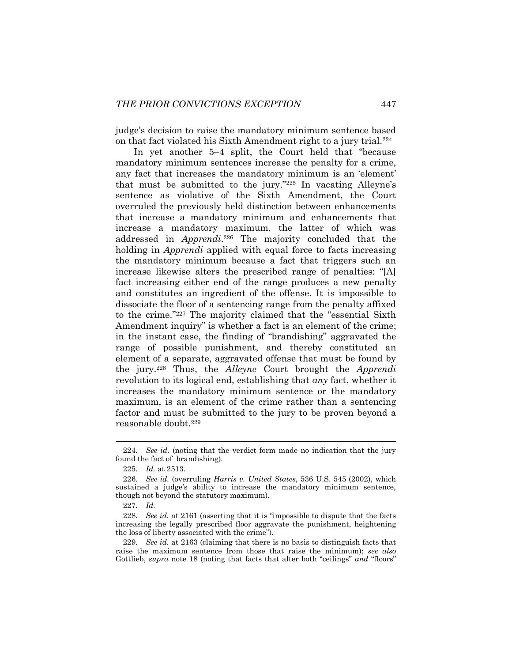judge's decision to raise the mandatory minimum sentence based on that fact violated his Sixth Amendment right to a jury trial.<sup>224</sup>

In yet another 5–4 split, the Court held that "because mandatory minimum sentences increase the penalty for a crime, any fact that increases the mandatory minimum is an 'element' that must be submitted to the jury."<sup>225</sup> In vacating Alleyne's sentence as violative of the Sixth Amendment, the Court overruled the previously held distinction between enhancements that increase a mandatory minimum and enhancements that increase a mandatory maximum, the latter of which was addressed in *Apprendi*. <sup>226</sup> The majority concluded that the holding in *Apprendi* applied with equal force to facts increasing the mandatory minimum because a fact that triggers such an increase likewise alters the prescribed range of penalties: "[A] fact increasing either end of the range produces a new penalty and constitutes an ingredient of the offense. It is impossible to dissociate the floor of a sentencing range from the penalty affixed to the crime."<sup>227</sup> The majority claimed that the "essential Sixth Amendment inquiry" is whether a fact is an element of the crime; in the instant case, the finding of "brandishing" aggravated the range of possible punishment, and thereby constituted an element of a separate, aggravated offense that must be found by the jury.<sup>228</sup> Thus, the *Alleyne* Court brought the *Apprendi*  revolution to its logical end, establishing that *any* fact, whether it increases the mandatory minimum sentence or the mandatory maximum, is an element of the crime rather than a sentencing factor and must be submitted to the jury to be proven beyond a reasonable doubt.<sup>229</sup>

<sup>224</sup>*. See id.* (noting that the verdict form made no indication that the jury found the fact of brandishing).

<sup>225</sup>*. Id.* at 2513.

<sup>226</sup>*. See id.* (overruling *Harris v. United States*, 536 U.S. 545 (2002), which sustained a judge's ability to increase the mandatory minimum sentence, though not beyond the statutory maximum).

<sup>227</sup>*. Id.* 

<sup>228</sup>*. See id.* at 2161 (asserting that it is "impossible to dispute that the facts increasing the legally prescribed floor aggravate the punishment, heightening the loss of liberty associated with the crime").

<sup>229</sup>*. See id.* at 2163 (claiming that there is no basis to distinguish facts that raise the maximum sentence from those that raise the minimum); *see also*  Gottlieb, *supra* note 18 (noting that facts that alter both "ceilings" *and* "floors"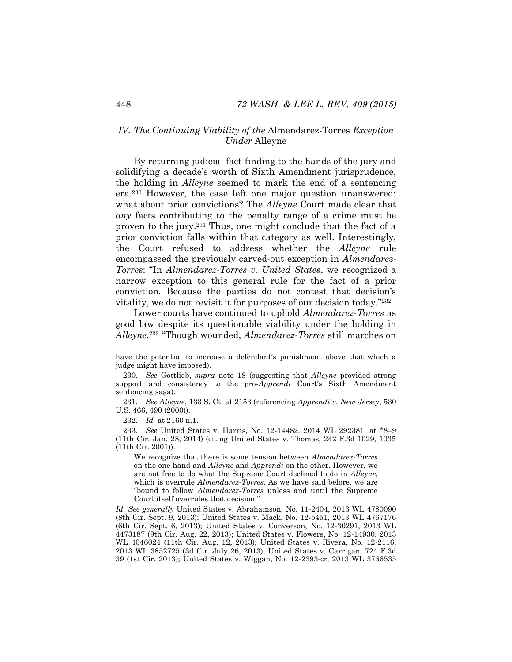# *IV. The Continuing Viability of the* Almendarez-Torres *Exception Under* Alleyne

By returning judicial fact-finding to the hands of the jury and solidifying a decade's worth of Sixth Amendment jurisprudence, the holding in *Alleyne* seemed to mark the end of a sentencing era.<sup>230</sup> However, the case left one major question unanswered: what about prior convictions? The *Alleyne* Court made clear that *any* facts contributing to the penalty range of a crime must be proven to the jury.<sup>231</sup> Thus, one might conclude that the fact of a prior conviction falls within that category as well. Interestingly, the Court refused to address whether the *Alleyne* rule encompassed the previously carved-out exception in *Almendarez-Torres*: "In *Almendarez-Torres v. United States*, we recognized a narrow exception to this general rule for the fact of a prior conviction. Because the parties do not contest that decision's vitality, we do not revisit it for purposes of our decision today."<sup>232</sup>

Lower courts have continued to uphold *Almendarez-Torres* as good law despite its questionable viability under the holding in *Alleyne.*<sup>233</sup> "Though wounded, *Almendarez-Torres* still marches on

231*. See Alleyne*, 133 S. Ct. at 2153 (referencing *Apprendi v. New Jersey*, 530 U.S. 466, 490 (2000)).

232*. Id.* at 2160 n.1.

233*. See* United States v. Harris, No. 12-14482, 2014 WL 292381, at \*8–9 (11th Cir. Jan. 28, 2014) (citing United States v. Thomas, 242 F.3d 1029, 1035 (11th Cir. 2001)).

We recognize that there is some tension between *Almendarez-Torres* on the one hand and *Alleyne* and *Apprendi* on the other. However, we are not free to do what the Supreme Court declined to do in *Alleyne*, which is overrule *Almendarez-Torres*. As we have said before, we are "bound to follow *Almendarez-Torres* unless and until the Supreme Court itself overrules that decision."

*Id. See generally* United States v. Abrahamson, No. 11-2404, 2013 WL 4780090 (8th Cir. Sept. 9, 2013); United States v. Mack, No. 12-5451, 2013 WL 4767176 (6th Cir. Sept. 6, 2013); United States v. Converson, No. 12-30291, 2013 WL 4473187 (9th Cir. Aug. 22, 2013); United States v. Flowers, No. 12-14930, 2013 WL 4046024 (11th Cir. Aug. 12, 2013); United States v. Rivera, No. 12-2116, 2013 WL 3852725 (3d Cir. July 26, 2013); United States v. Carrigan, 724 F.3d 39 (1st Cir. 2013); United States v. Wiggan, No. 12-2393-cr, 2013 WL 3766535

have the potential to increase a defendant's punishment above that which a judge might have imposed).

<sup>230</sup>*. See* Gottlieb, *supra* note [18](#page-5-1) (suggesting that *Alleyne* provided strong support and consistency to the pro-*Apprendi* Court's Sixth Amendment sentencing saga).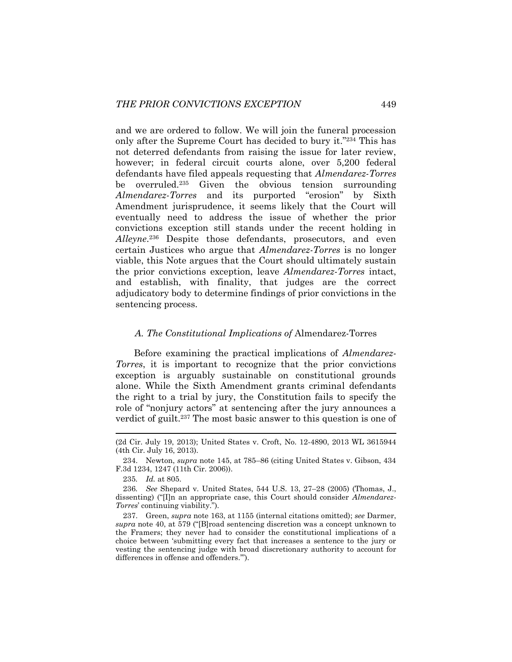<span id="page-41-0"></span>and we are ordered to follow. We will join the funeral procession only after the Supreme Court has decided to bury it."<sup>234</sup> This has not deterred defendants from raising the issue for later review, however; in federal circuit courts alone, over 5,200 federal defendants have filed appeals requesting that *Almendarez-Torres* be overruled.<sup>235</sup> Given the obvious tension surrounding *Almendarez-Torres* and its purported "erosion" by Sixth Amendment jurisprudence, it seems likely that the Court will eventually need to address the issue of whether the prior convictions exception still stands under the recent holding in *Alleyne*. <sup>236</sup> Despite those defendants, prosecutors, and even certain Justices who argue that *Almendarez-Torres* is no longer viable, this Note argues that the Court should ultimately sustain the prior convictions exception, leave *Almendarez-Torres* intact, and establish, with finality, that judges are the correct adjudicatory body to determine findings of prior convictions in the sentencing process.

# <span id="page-41-1"></span>*A. The Constitutional Implications of* Almendarez-Torres

Before examining the practical implications of *Almendarez-Torres*, it is important to recognize that the prior convictions exception is arguably sustainable on constitutional grounds alone. While the Sixth Amendment grants criminal defendants the right to a trial by jury, the Constitution fails to specify the role of "nonjury actors" at sentencing after the jury announces a verdict of guilt.<sup>237</sup> The most basic answer to this question is one of

<sup>(2</sup>d Cir. July 19, 2013); United States v. Croft, No. 12-4890, 2013 WL 3615944 (4th Cir. July 16, 2013).

<sup>234.</sup> Newton, *supra* note [145,](#page-25-0) at 785–86 (citing United States v. Gibson, 434 F.3d 1234, 1247 (11th Cir. 2006)).

<sup>235</sup>*. Id.* at 805.

<sup>236</sup>*. See* Shepard v. United States, 544 U.S. 13, 27–28 (2005) (Thomas, J., dissenting) ("[I]n an appropriate case, this Court should consider *Almendarez-Torres*' continuing viability.").

<sup>237.</sup> Green, *supra* note [163,](#page-28-1) at 1155 (internal citations omitted); *see* Darmer, *supra* note [40](#page-9-0), at 579 ("[B]road sentencing discretion was a concept unknown to the Framers; they never had to consider the constitutional implications of a choice between 'submitting every fact that increases a sentence to the jury or vesting the sentencing judge with broad discretionary authority to account for differences in offense and offenders.'").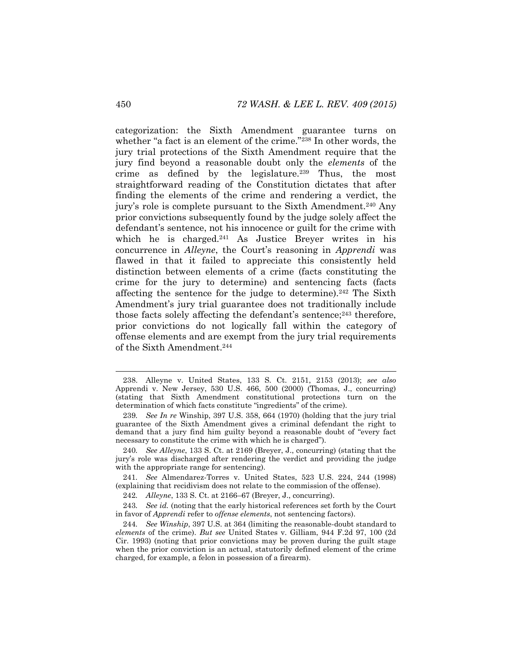categorization: the Sixth Amendment guarantee turns on whether "a fact is an element of the crime."<sup>238</sup> In other words, the jury trial protections of the Sixth Amendment require that the jury find beyond a reasonable doubt only the *elements* of the crime as defined by the legislature.<sup>239</sup> Thus, the most straightforward reading of the Constitution dictates that after finding the elements of the crime and rendering a verdict, the jury's role is complete pursuant to the Sixth Amendment.<sup>240</sup> Any prior convictions subsequently found by the judge solely affect the defendant's sentence, not his innocence or guilt for the crime with which he is charged.<sup>241</sup> As Justice Breyer writes in his concurrence in *Alleyne*, the Court's reasoning in *Apprendi* was flawed in that it failed to appreciate this consistently held distinction between elements of a crime (facts constituting the crime for the jury to determine) and sentencing facts (facts affecting the sentence for the judge to determine).<sup>242</sup> The Sixth Amendment's jury trial guarantee does not traditionally include those facts solely affecting the defendant's sentence;<sup>243</sup> therefore, prior convictions do not logically fall within the category of offense elements and are exempt from the jury trial requirements of the Sixth Amendment.<sup>244</sup>

<sup>238.</sup> Alleyne v. United States, 133 S. Ct. 2151, 2153 (2013); *see also*  Apprendi v. New Jersey, 530 U.S. 466, 500 (2000) (Thomas, J., concurring) (stating that Sixth Amendment constitutional protections turn on the determination of which facts constitute "ingredients" of the crime).

<sup>239</sup>*. See In re* Winship, 397 U.S. 358, 664 (1970) (holding that the jury trial guarantee of the Sixth Amendment gives a criminal defendant the right to demand that a jury find him guilty beyond a reasonable doubt of "every fact necessary to constitute the crime with which he is charged").

<sup>240</sup>*. See Alleyne*, 133 S. Ct. at 2169 (Breyer, J., concurring) (stating that the jury's role was discharged after rendering the verdict and providing the judge with the appropriate range for sentencing).

<sup>241</sup>*. See* Almendarez-Torres v. United States, 523 U.S. 224, 244 (1998) (explaining that recidivism does not relate to the commission of the offense).

<sup>242</sup>*. Alleyne*, 133 S. Ct. at 2166–67 (Breyer, J., concurring).

<sup>243</sup>*. See id.* (noting that the early historical references set forth by the Court in favor of *Apprendi* refer to *offense elements*, not sentencing factors).

<sup>244</sup>*. See Winship*, 397 U.S. at 364 (limiting the reasonable-doubt standard to *elements* of the crime). *But see* United States v. Gilliam, 944 F.2d 97, 100 (2d Cir. 1993) (noting that prior convictions may be proven during the guilt stage when the prior conviction is an actual, statutorily defined element of the crime charged, for example, a felon in possession of a firearm).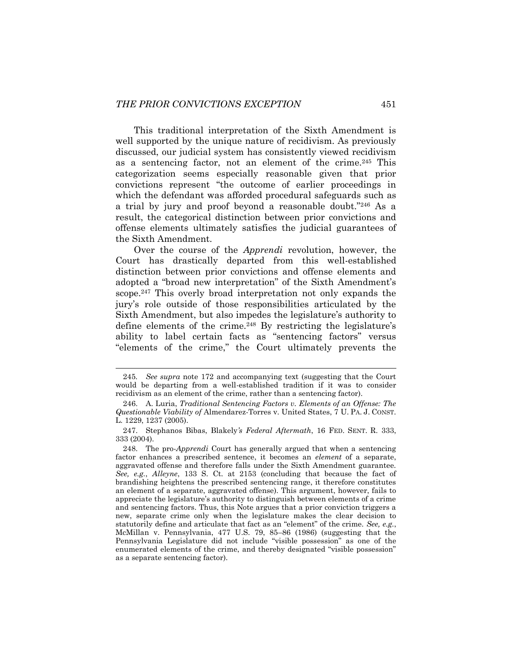This traditional interpretation of the Sixth Amendment is well supported by the unique nature of recidivism. As previously discussed, our judicial system has consistently viewed recidivism as a sentencing factor, not an element of the crime.<sup>245</sup> This categorization seems especially reasonable given that prior convictions represent "the outcome of earlier proceedings in which the defendant was afforded procedural safeguards such as a trial by jury and proof beyond a reasonable doubt."<sup>246</sup> As a result, the categorical distinction between prior convictions and offense elements ultimately satisfies the judicial guarantees of the Sixth Amendment.

Over the course of the *Apprendi* revolution, however, the Court has drastically departed from this well-established distinction between prior convictions and offense elements and adopted a "broad new interpretation" of the Sixth Amendment's scope.<sup>247</sup> This overly broad interpretation not only expands the jury's role outside of those responsibilities articulated by the Sixth Amendment, but also impedes the legislature's authority to define elements of the crime.<sup>248</sup> By restricting the legislature's ability to label certain facts as "sentencing factors" versus "elements of the crime," the Court ultimately prevents the

<sup>245</sup>*. See supra* note [172](#page-30-0) and accompanying text (suggesting that the Court would be departing from a well-established tradition if it was to consider recidivism as an element of the crime, rather than a sentencing factor).

<sup>246.</sup> A. Luria, *Traditional Sentencing Factors v. Elements of an Offense: The Questionable Viability of* Almendarez-Torres v. United States, 7 U. PA. J. CONST. L. 1229, 1237 (2005).

<sup>247.</sup> Stephanos Bibas, Blakely*'s Federal Aftermath*, 16 FED. SENT. R. 333, 333 (2004).

<sup>248.</sup> The pro-*Apprendi* Court has generally argued that when a sentencing factor enhances a prescribed sentence, it becomes an *element* of a separate, aggravated offense and therefore falls under the Sixth Amendment guarantee. *See, e.g.*, *Alleyne*, 133 S. Ct. at 2153 (concluding that because the fact of brandishing heightens the prescribed sentencing range, it therefore constitutes an element of a separate, aggravated offense). This argument, however, fails to appreciate the legislature's authority to distinguish between elements of a crime and sentencing factors. Thus, this Note argues that a prior conviction triggers a new, separate crime only when the legislature makes the clear decision to statutorily define and articulate that fact as an "element" of the crime. *See, e.g.*, McMillan v. Pennsylvania, 477 U.S. 79, 85–86 (1986) (suggesting that the Pennsylvania Legislature did not include "visible possession" as one of the enumerated elements of the crime, and thereby designated "visible possession" as a separate sentencing factor).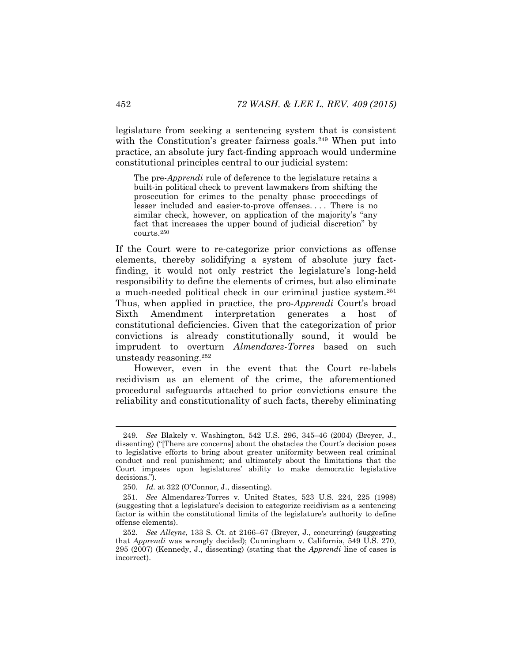legislature from seeking a sentencing system that is consistent with the Constitution's greater fairness goals.<sup>249</sup> When put into practice, an absolute jury fact-finding approach would undermine constitutional principles central to our judicial system:

The pre-*Apprendi* rule of deference to the legislature retains a built-in political check to prevent lawmakers from shifting the prosecution for crimes to the penalty phase proceedings of lesser included and easier-to-prove offenses. . . . There is no similar check, however, on application of the majority's "any fact that increases the upper bound of judicial discretion" by courts.<sup>250</sup>

If the Court were to re-categorize prior convictions as offense elements, thereby solidifying a system of absolute jury factfinding, it would not only restrict the legislature's long-held responsibility to define the elements of crimes, but also eliminate a much-needed political check in our criminal justice system.<sup>251</sup> Thus, when applied in practice, the pro-*Apprendi* Court's broad Sixth Amendment interpretation generates a host of constitutional deficiencies. Given that the categorization of prior convictions is already constitutionally sound, it would be imprudent to overturn *Almendarez-Torres* based on such unsteady reasoning.<sup>252</sup>

However, even in the event that the Court re-labels recidivism as an element of the crime, the aforementioned procedural safeguards attached to prior convictions ensure the reliability and constitutionality of such facts, thereby eliminating

<sup>249</sup>*. See* Blakely v. Washington, 542 U.S. 296, 345–46 (2004) (Breyer, J., dissenting) ("[There are concerns] about the obstacles the Court's decision poses to legislative efforts to bring about greater uniformity between real criminal conduct and real punishment; and ultimately about the limitations that the Court imposes upon legislatures' ability to make democratic legislative decisions.").

<sup>250</sup>*. Id.* at 322 (O'Connor, J., dissenting).

<sup>251</sup>*. See* Almendarez-Torres v. United States, 523 U.S. 224, 225 (1998) (suggesting that a legislature's decision to categorize recidivism as a sentencing factor is within the constitutional limits of the legislature's authority to define offense elements).

<sup>252</sup>*. See Alleyne*, 133 S. Ct. at 2166–67 (Breyer, J., concurring) (suggesting that *Apprendi* was wrongly decided); Cunningham v. California, 549 U.S. 270, 295 (2007) (Kennedy, J., dissenting) (stating that the *Apprendi* line of cases is incorrect).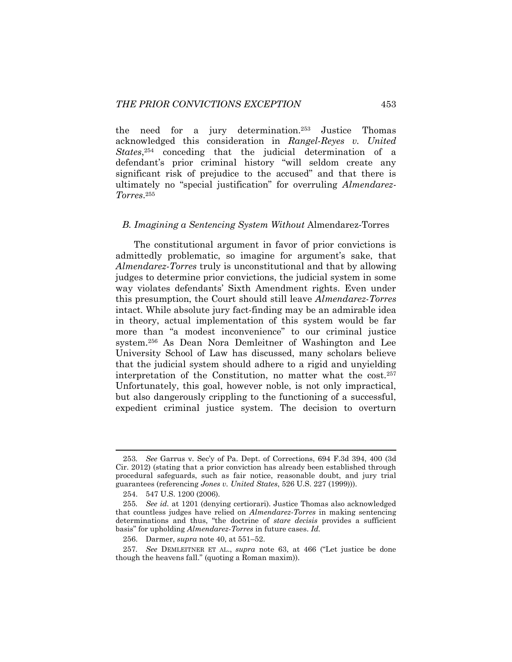the need for a jury determination.<sup>253</sup> Justice Thomas acknowledged this consideration in *Rangel-Reyes v. United States*, <sup>254</sup> conceding that the judicial determination of a defendant's prior criminal history "will seldom create any significant risk of prejudice to the accused" and that there is ultimately no "special justification" for overruling *Almendarez-Torres*. 255

### *B. Imagining a Sentencing System Without* Almendarez-Torres

The constitutional argument in favor of prior convictions is admittedly problematic, so imagine for argument's sake, that *Almendarez-Torres* truly is unconstitutional and that by allowing judges to determine prior convictions, the judicial system in some way violates defendants' Sixth Amendment rights. Even under this presumption, the Court should still leave *Almendarez-Torres*  intact. While absolute jury fact-finding may be an admirable idea in theory, actual implementation of this system would be far more than "a modest inconvenience" to our criminal justice system.<sup>256</sup> As Dean Nora Demleitner of Washington and Lee University School of Law has discussed, many scholars believe that the judicial system should adhere to a rigid and unyielding interpretation of the Constitution, no matter what the cost.<sup>257</sup> Unfortunately, this goal, however noble, is not only impractical, but also dangerously crippling to the functioning of a successful, expedient criminal justice system. The decision to overturn

<sup>253</sup>*. See* Garrus v. Sec'y of Pa. Dept. of Corrections, 694 F.3d 394, 400 (3d Cir. 2012) (stating that a prior conviction has already been established through procedural safeguards, such as fair notice, reasonable doubt, and jury trial guarantees (referencing *Jones v. United States*, 526 U.S. 227 (1999))).

<sup>254.</sup> 547 U.S. 1200 (2006).

<sup>255</sup>*. See id.* at 1201 (denying certiorari). Justice Thomas also acknowledged that countless judges have relied on *Almendarez-Torres* in making sentencing determinations and thus, "the doctrine of *stare decisis* provides a sufficient basis" for upholding *Almendarez-Torres* in future cases. *Id.* 

<sup>256.</sup> Darmer, *supra* not[e 40,](#page-9-0) at 551–52.

<sup>257</sup>*. See* DEMLEITNER ET AL., *supra* note [63](#page-13-0), at 466 ("Let justice be done though the heavens fall." (quoting a Roman maxim)).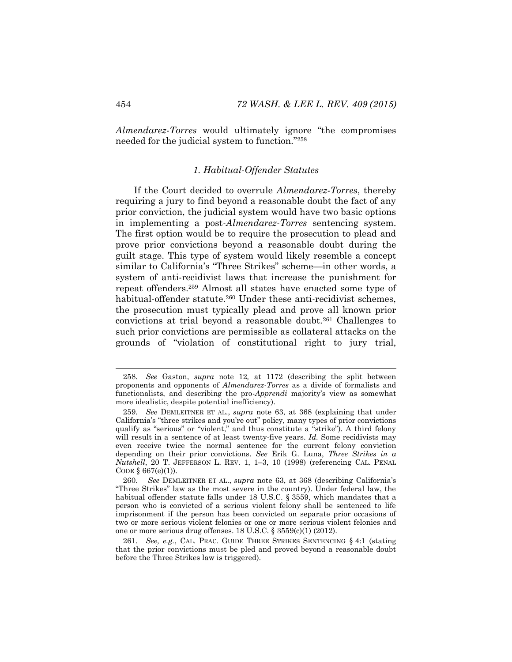*Almendarez-Torres* would ultimately ignore "the compromises needed for the judicial system to function."<sup>258</sup>

# *1. Habitual-Offender Statutes*

If the Court decided to overrule *Almendarez-Torres*, thereby requiring a jury to find beyond a reasonable doubt the fact of any prior conviction, the judicial system would have two basic options in implementing a post-*Almendarez-Torres* sentencing system. The first option would be to require the prosecution to plead and prove prior convictions beyond a reasonable doubt during the guilt stage. This type of system would likely resemble a concept similar to California's "Three Strikes" scheme—in other words, a system of anti-recidivist laws that increase the punishment for repeat offenders.<sup>259</sup> Almost all states have enacted some type of habitual-offender statute.<sup>260</sup> Under these anti-recidivist schemes, the prosecution must typically plead and prove all known prior convictions at trial beyond a reasonable doubt.<sup>261</sup> Challenges to such prior convictions are permissible as collateral attacks on the grounds of "violation of constitutional right to jury trial,

<sup>258</sup>*. See* Gaston, *supra* note [12](#page-4-0)*,* at 1172 (describing the split between proponents and opponents of *Almendarez-Torres* as a divide of formalists and functionalists, and describing the pro-*Apprendi* majority's view as somewhat more idealistic, despite potential inefficiency).

<sup>259</sup>*. See* DEMLEITNER ET AL., *supra* note [63,](#page-13-0) at 368 (explaining that under California's "three strikes and you're out" policy, many types of prior convictions qualify as "serious" or "violent," and thus constitute a "strike"). A third felony will result in a sentence of at least twenty-five years. *Id.* Some recidivists may even receive twice the normal sentence for the current felony conviction depending on their prior convictions. *See* Erik G. Luna, *Three Strikes in a Nutshell*, 20 T. JEFFERSON L. REV. 1, 1–3, 10 (1998) (referencing CAL. PENAL CODE § 667(e)(1)).

<sup>260.</sup> *See* DEMLEITNER ET AL., *supra* note [63](#page-13-0), at 368 (describing California's "Three Strikes" law as the most severe in the country). Under federal law, the habitual offender statute falls under 18 U.S.C. § 3559, which mandates that a person who is convicted of a serious violent felony shall be sentenced to life imprisonment if the person has been convicted on separate prior occasions of two or more serious violent felonies or one or more serious violent felonies and one or more serious drug offenses. 18 U.S.C. § 3559(c)(1) (2012).

<sup>261</sup>*. See, e.g.*, CAL. PRAC. GUIDE THREE STRIKES SENTENCING § 4:1 (stating that the prior convictions must be pled and proved beyond a reasonable doubt before the Three Strikes law is triggered).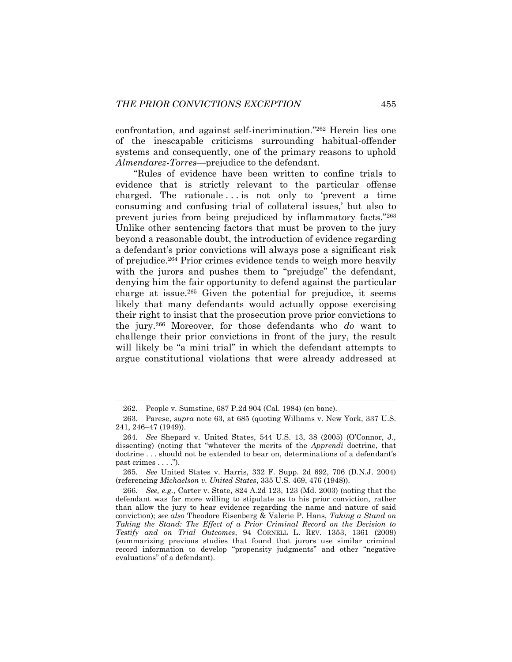confrontation, and against self-incrimination."<sup>262</sup> Herein lies one of the inescapable criticisms surrounding habitual-offender systems and consequently, one of the primary reasons to uphold *Almendarez-Torres*—prejudice to the defendant.

"Rules of evidence have been written to confine trials to evidence that is strictly relevant to the particular offense charged. The rationale  $\ldots$  is not only to 'prevent a time consuming and confusing trial of collateral issues,' but also to prevent juries from being prejudiced by inflammatory facts."<sup>263</sup> Unlike other sentencing factors that must be proven to the jury beyond a reasonable doubt, the introduction of evidence regarding a defendant's prior convictions will always pose a significant risk of prejudice.<sup>264</sup> Prior crimes evidence tends to weigh more heavily with the jurors and pushes them to "prejudge" the defendant, denying him the fair opportunity to defend against the particular charge at issue.<sup>265</sup> Given the potential for prejudice, it seems likely that many defendants would actually oppose exercising their right to insist that the prosecution prove prior convictions to the jury.<sup>266</sup> Moreover, for those defendants who *do* want to challenge their prior convictions in front of the jury, the result will likely be "a mini trial" in which the defendant attempts to argue constitutional violations that were already addressed at

<sup>262.</sup> People v. Sumstine, 687 P.2d 904 (Cal. 1984) (en banc).

<sup>263.</sup> Parese, *supra* note [63,](#page-13-0) at 685 (quoting Williams v. New York, 337 U.S. 241, 246–47 (1949)).

<sup>264</sup>*. See* Shepard v. United States, 544 U.S. 13, 38 (2005) (O'Connor, J., dissenting) (noting that "whatever the merits of the *Apprendi* doctrine, that doctrine . . . should not be extended to bear on, determinations of a defendant's past crimes . . . .").

<sup>265</sup>*. See* United States v. Harris, 332 F. Supp. 2d 692, 706 (D.N.J. 2004) (referencing *Michaelson v. United States*, 335 U.S. 469, 476 (1948)).

<sup>266</sup>*. See, e.g.*, Carter v. State, 824 A.2d 123, 123 (Md. 2003) (noting that the defendant was far more willing to stipulate as to his prior conviction, rather than allow the jury to hear evidence regarding the name and nature of said conviction); *see also* Theodore Eisenberg & Valerie P. Hans, *Taking a Stand on*  Taking the Stand: The Effect of a Prior Criminal Record on the Decision to *Testify and on Trial Outcomes*, 94 CORNELL L. REV. 1353, 1361 (2009) (summarizing previous studies that found that jurors use similar criminal record information to develop "propensity judgments" and other "negative evaluations" of a defendant).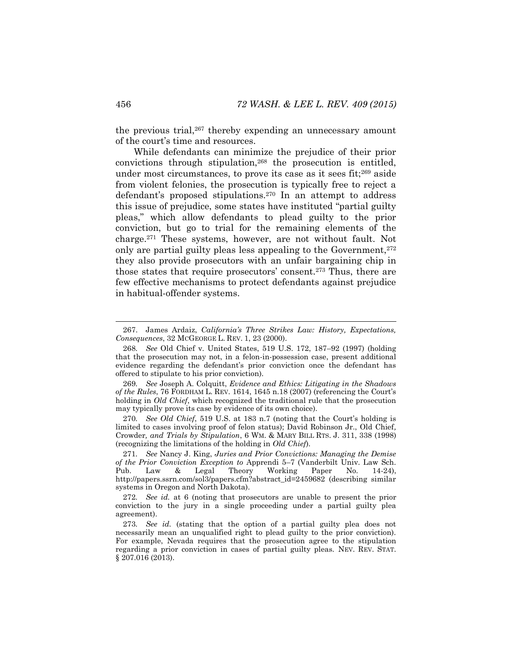the previous trial,<sup>267</sup> thereby expending an unnecessary amount of the court's time and resources.

<span id="page-48-0"></span>While defendants can minimize the prejudice of their prior convictions through stipulation,<sup>268</sup> the prosecution is entitled, under most circumstances, to prove its case as it sees fit;<sup>269</sup> aside from violent felonies, the prosecution is typically free to reject a defendant's proposed stipulations.<sup>270</sup> In an attempt to address this issue of prejudice, some states have instituted "partial guilty pleas," which allow defendants to plead guilty to the prior conviction, but go to trial for the remaining elements of the charge.<sup>271</sup> These systems, however, are not without fault. Not only are partial guilty pleas less appealing to the Government,<sup>272</sup> they also provide prosecutors with an unfair bargaining chip in those states that require prosecutors' consent.<sup>273</sup> Thus, there are few effective mechanisms to protect defendants against prejudice in habitual-offender systems.

<sup>267.</sup> James Ardaiz, *California's Three Strikes Law: History, Expectations, Consequences*, 32 MCGEORGE L. REV. 1, 23 (2000).

<sup>268</sup>*. See* Old Chief v. United States, 519 U.S. 172, 187–92 (1997) (holding that the prosecution may not, in a felon-in-possession case, present additional evidence regarding the defendant's prior conviction once the defendant has offered to stipulate to his prior conviction).

<sup>269</sup>*. See* Joseph A. Colquitt, *Evidence and Ethics: Litigating in the Shadows of the Rules*, 76 FORDHAM L. REV. 1614, 1645 n.18 (2007) (referencing the Court's holding in *Old Chief*, which recognized the traditional rule that the prosecution may typically prove its case by evidence of its own choice).

<sup>270</sup>*. See Old Chief*, 519 U.S. at 183 n.7 (noting that the Court's holding is limited to cases involving proof of felon status); David Robinson Jr., Old Chief*,*  Crowder*, and Trials by Stipulation*, 6 WM. & MARY BILL RTS. J. 311, 338 (1998) (recognizing the limitations of the holding in *Old Chief*).

<sup>271</sup>*. See* Nancy J. King, *Juries and Prior Convictions: Managing the Demise of the Prior Conviction Exception to* Apprendi 5–7 (Vanderbilt Univ. Law Sch. Pub. Law & Legal Theory Working Paper No. 14-24), http://papers.ssrn.com/sol3/papers.cfm?abstract\_id=2459682 (describing similar systems in Oregon and North Dakota).

<sup>272</sup>*. See id.* at 6 (noting that prosecutors are unable to present the prior conviction to the jury in a single proceeding under a partial guilty plea agreement).

<sup>273</sup>*. See id.* (stating that the option of a partial guilty plea does not necessarily mean an unqualified right to plead guilty to the prior conviction). For example, Nevada requires that the prosecution agree to the stipulation regarding a prior conviction in cases of partial guilty pleas. NEV. REV. STAT. § 207.016 (2013).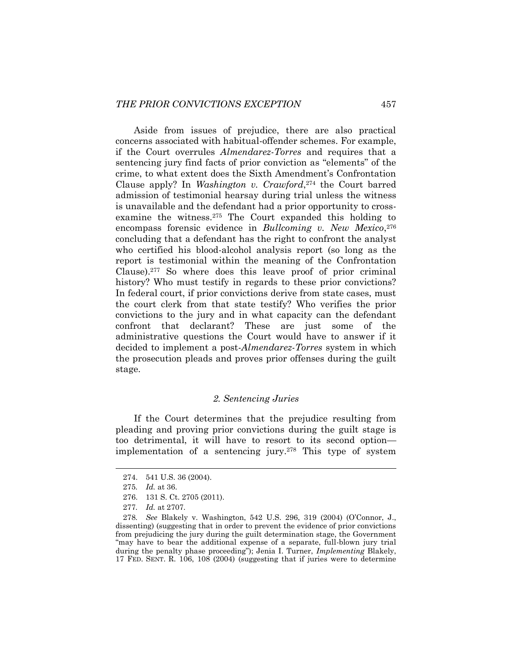Aside from issues of prejudice, there are also practical concerns associated with habitual-offender schemes. For example, if the Court overrules *Almendarez-Torres* and requires that a sentencing jury find facts of prior conviction as "elements" of the crime, to what extent does the Sixth Amendment's Confrontation Clause apply? In *Washington v. Crawford*, <sup>274</sup> the Court barred admission of testimonial hearsay during trial unless the witness is unavailable and the defendant had a prior opportunity to crossexamine the witness.<sup>275</sup> The Court expanded this holding to encompass forensic evidence in *Bullcoming v. New Mexico*, 276 concluding that a defendant has the right to confront the analyst who certified his blood-alcohol analysis report (so long as the report is testimonial within the meaning of the Confrontation Clause).<sup>277</sup> So where does this leave proof of prior criminal history? Who must testify in regards to these prior convictions? In federal court, if prior convictions derive from state cases, must the court clerk from that state testify? Who verifies the prior convictions to the jury and in what capacity can the defendant confront that declarant? These are just some of the administrative questions the Court would have to answer if it decided to implement a post-*Almendarez-Torres* system in which the prosecution pleads and proves prior offenses during the guilt stage.

#### <span id="page-49-0"></span>*2. Sentencing Juries*

If the Court determines that the prejudice resulting from pleading and proving prior convictions during the guilt stage is too detrimental, it will have to resort to its second option implementation of a sentencing jury.<sup>278</sup> This type of system

<sup>274.</sup> 541 U.S. 36 (2004).

<sup>275</sup>*. Id.* at 36.

<sup>276.</sup> 131 S. Ct. 2705 (2011).

<sup>277</sup>*. Id.* at 2707.

<sup>278</sup>*. See* Blakely v. Washington, 542 U.S. 296, 319 (2004) (O'Connor, J., dissenting) (suggesting that in order to prevent the evidence of prior convictions from prejudicing the jury during the guilt determination stage, the Government "may have to bear the additional expense of a separate, full-blown jury trial during the penalty phase proceeding"); Jenia I. Turner, *Implementing* Blakely, 17 FED. SENT. R. 106, 108 (2004) (suggesting that if juries were to determine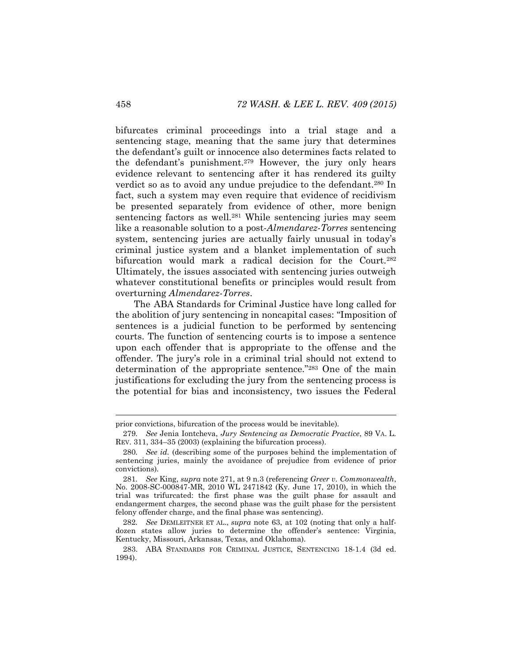<span id="page-50-0"></span>bifurcates criminal proceedings into a trial stage and a sentencing stage, meaning that the same jury that determines the defendant's guilt or innocence also determines facts related to the defendant's punishment.<sup>279</sup> However, the jury only hears evidence relevant to sentencing after it has rendered its guilty verdict so as to avoid any undue prejudice to the defendant.<sup>280</sup> In fact, such a system may even require that evidence of recidivism be presented separately from evidence of other, more benign sentencing factors as well.<sup>281</sup> While sentencing juries may seem like a reasonable solution to a post-*Almendarez-Torres* sentencing system, sentencing juries are actually fairly unusual in today's criminal justice system and a blanket implementation of such bifurcation would mark a radical decision for the Court.<sup>282</sup> Ultimately, the issues associated with sentencing juries outweigh whatever constitutional benefits or principles would result from overturning *Almendarez-Torres*.

The ABA Standards for Criminal Justice have long called for the abolition of jury sentencing in noncapital cases: "Imposition of sentences is a judicial function to be performed by sentencing courts. The function of sentencing courts is to impose a sentence upon each offender that is appropriate to the offense and the offender. The jury's role in a criminal trial should not extend to determination of the appropriate sentence."<sup>283</sup> One of the main justifications for excluding the jury from the sentencing process is the potential for bias and inconsistency, two issues the Federal

prior convictions, bifurcation of the process would be inevitable).

<sup>279</sup>*. See* Jenia Iontcheva, *Jury Sentencing as Democratic Practice*, 89 VA. L. REV. 311, 334–35 (2003) (explaining the bifurcation process).

<sup>280</sup>*. See id.* (describing some of the purposes behind the implementation of sentencing juries, mainly the avoidance of prejudice from evidence of prior convictions).

<sup>281</sup>*. See* King, *supra* note [271,](#page-48-0) at 9 n.3 (referencing *Greer v. Commonwealth*, No. 2008-SC-000847-MR, 2010 WL 2471842 (Ky. June 17, 2010), in which the trial was trifurcated: the first phase was the guilt phase for assault and endangerment charges, the second phase was the guilt phase for the persistent felony offender charge, and the final phase was sentencing).

<sup>282</sup>*. See* DEMLEITNER ET AL., *supra* note [63,](#page-13-0) at 102 (noting that only a halfdozen states allow juries to determine the offender's sentence: Virginia, Kentucky, Missouri, Arkansas, Texas, and Oklahoma).

<sup>283.</sup> ABA STANDARDS FOR CRIMINAL JUSTICE, SENTENCING 18-1.4 (3d ed. 1994).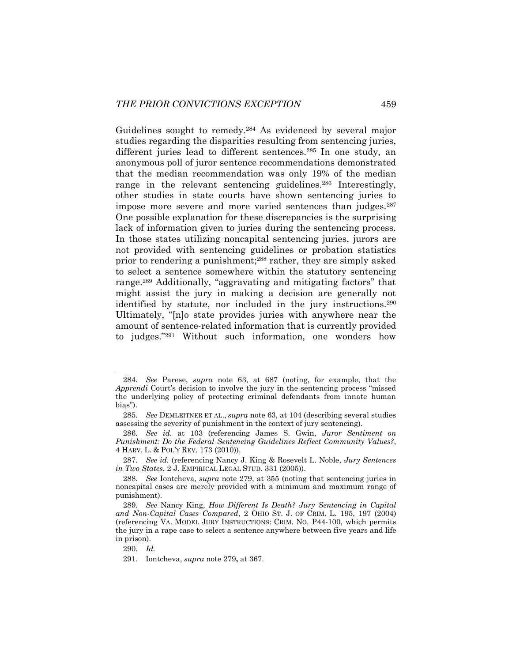Guidelines sought to remedy.<sup>284</sup> As evidenced by several major studies regarding the disparities resulting from sentencing juries, different juries lead to different sentences.<sup>285</sup> In one study, an anonymous poll of juror sentence recommendations demonstrated that the median recommendation was only 19% of the median range in the relevant sentencing guidelines.<sup>286</sup> Interestingly, other studies in state courts have shown sentencing juries to impose more severe and more varied sentences than judges.<sup>287</sup> One possible explanation for these discrepancies is the surprising lack of information given to juries during the sentencing process. In those states utilizing noncapital sentencing juries, jurors are not provided with sentencing guidelines or probation statistics prior to rendering a punishment;<sup>288</sup> rather, they are simply asked to select a sentence somewhere within the statutory sentencing range.<sup>289</sup> Additionally, "aggravating and mitigating factors" that might assist the jury in making a decision are generally not identified by statute, nor included in the jury instructions.<sup>290</sup> Ultimately, "[n]o state provides juries with anywhere near the amount of sentence-related information that is currently provided to judges."<sup>291</sup> Without such information, one wonders how

290*. Id.*

<span id="page-51-0"></span><sup>284</sup>*. See* Parese, *supra* note [63,](#page-13-0) at 687 (noting, for example, that the *Apprendi* Court's decision to involve the jury in the sentencing process "missed the underlying policy of protecting criminal defendants from innate human bias").

<sup>285</sup>*. See* DEMLEITNER ET AL., *supra* not[e 63,](#page-13-0) at 104 (describing several studies assessing the severity of punishment in the context of jury sentencing).

<sup>286</sup>*. See id.* at 103 (referencing James S. Gwin, *Juror Sentiment on Punishment: Do the Federal Sentencing Guidelines Reflect Community Values?*, 4 HARV. L. & POL'Y REV. 173 (2010)).

<sup>287</sup>*. See id.* (referencing Nancy J. King & Rosevelt L. Noble, *Jury Sentences in Two States*, 2 J. EMPIRICAL LEGAL STUD. 331 (2005)).

<sup>288</sup>*. See* Iontcheva, *supra* note [279,](#page-50-0) at 355 (noting that sentencing juries in noncapital cases are merely provided with a minimum and maximum range of punishment).

<sup>289</sup>*. See* Nancy King, *How Different Is Death? Jury Sentencing in Capital and Non-Capital Cases Compared*, 2 OHIO ST. J. OF CRIM. L. 195, 197 (2004) (referencing VA. MODEL JURY INSTRUCTIONS: CRIM. NO. P44-100, which permits the jury in a rape case to select a sentence anywhere between five years and life in prison).

<sup>291.</sup> Iontcheva, *supra* note [279](#page-50-0)**,** at 367.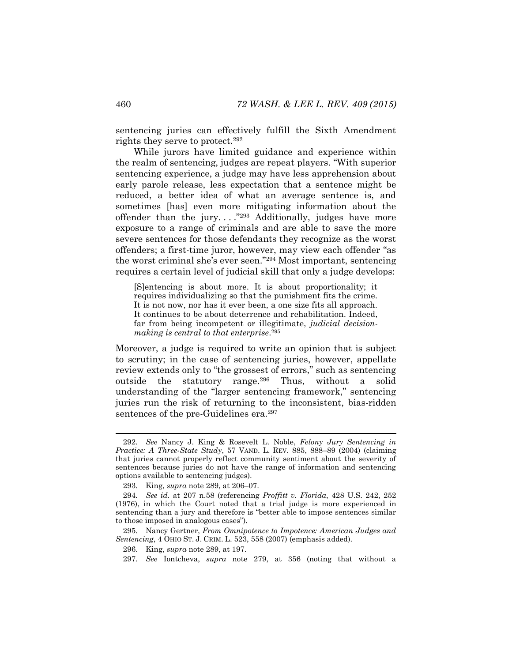<span id="page-52-0"></span>sentencing juries can effectively fulfill the Sixth Amendment rights they serve to protect.<sup>292</sup>

While jurors have limited guidance and experience within the realm of sentencing, judges are repeat players. "With superior sentencing experience, a judge may have less apprehension about early parole release, less expectation that a sentence might be reduced, a better idea of what an average sentence is, and sometimes [has] even more mitigating information about the offender than the jury...." $^{293}$  Additionally, judges have more exposure to a range of criminals and are able to save the more severe sentences for those defendants they recognize as the worst offenders; a first-time juror, however, may view each offender "as the worst criminal she's ever seen."<sup>294</sup> Most important, sentencing requires a certain level of judicial skill that only a judge develops:

[S]entencing is about more. It is about proportionality; it requires individualizing so that the punishment fits the crime. It is not now, nor has it ever been, a one size fits all approach. It continues to be about deterrence and rehabilitation. Indeed, far from being incompetent or illegitimate, *judicial decisionmaking is central to that enterprise*. 295

Moreover, a judge is required to write an opinion that is subject to scrutiny; in the case of sentencing juries, however, appellate review extends only to "the grossest of errors," such as sentencing outside the statutory range.<sup>296</sup> Thus, without a solid understanding of the "larger sentencing framework," sentencing juries run the risk of returning to the inconsistent, bias-ridden sentences of the pre-Guidelines era.<sup>297</sup>

<sup>292</sup>*. See* Nancy J. King & Rosevelt L. Noble, *Felony Jury Sentencing in Practice: A Three-State Study*, 57 VAND. L. REV. 885, 888–89 (2004) (claiming that juries cannot properly reflect community sentiment about the severity of sentences because juries do not have the range of information and sentencing options available to sentencing judges).

<sup>293.</sup> King, *supra* note [289,](#page-51-0) at 206–07.

<sup>294</sup>*. See id.* at 207 n.58 (referencing *Proffitt v. Florida*, 428 U.S. 242, 252 (1976), in which the Court noted that a trial judge is more experienced in sentencing than a jury and therefore is "better able to impose sentences similar to those imposed in analogous cases").

<sup>295.</sup> Nancy Gertner, *From Omnipotence to Impotence: American Judges and Sentencing*, 4 OHIO ST. J. CRIM. L. 523, 558 (2007) (emphasis added).

<sup>296.</sup> King, *supra* note [289,](#page-51-0) at 197.

<sup>297.</sup> *See* Iontcheva, *supra* note [279,](#page-50-0) at 356 (noting that without a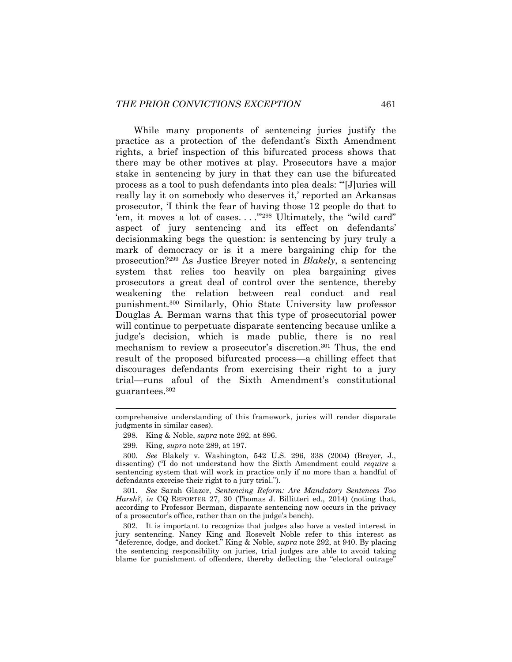While many proponents of sentencing juries justify the practice as a protection of the defendant's Sixth Amendment rights, a brief inspection of this bifurcated process shows that there may be other motives at play. Prosecutors have a major stake in sentencing by jury in that they can use the bifurcated process as a tool to push defendants into plea deals: "'[J]uries will really lay it on somebody who deserves it,' reported an Arkansas prosecutor, 'I think the fear of having those 12 people do that to 'em, it moves a lot of cases...."<sup>298</sup> Ultimately, the "wild card" aspect of jury sentencing and its effect on defendants' decisionmaking begs the question: is sentencing by jury truly a mark of democracy or is it a mere bargaining chip for the prosecution?<sup>299</sup> As Justice Breyer noted in *Blakely*, a sentencing system that relies too heavily on plea bargaining gives prosecutors a great deal of control over the sentence, thereby weakening the relation between real conduct and real punishment.<sup>300</sup> Similarly, Ohio State University law professor Douglas A. Berman warns that this type of prosecutorial power will continue to perpetuate disparate sentencing because unlike a judge's decision, which is made public, there is no real mechanism to review a prosecutor's discretion.<sup>301</sup> Thus, the end result of the proposed bifurcated process—a chilling effect that discourages defendants from exercising their right to a jury trial—runs afoul of the Sixth Amendment's constitutional guarantees.<sup>302</sup>

comprehensive understanding of this framework, juries will render disparate judgments in similar cases).

<span id="page-53-0"></span><sup>298.</sup> King & Noble, *supra* not[e 292,](#page-52-0) at 896.

<sup>299.</sup> King, *supra* note [289,](#page-51-0) at 197.

<sup>300</sup>*. See* Blakely v. Washington, 542 U.S. 296, 338 (2004) (Breyer, J., dissenting) ("I do not understand how the Sixth Amendment could *require* a sentencing system that will work in practice only if no more than a handful of defendants exercise their right to a jury trial.").

<sup>301</sup>*. See* Sarah Glazer, *Sentencing Reform: Are Mandatory Sentences Too Harsh?*, *in* CQ REPORTER 27, 30 (Thomas J. Billitteri ed., 2014) (noting that, according to Professor Berman, disparate sentencing now occurs in the privacy of a prosecutor's office, rather than on the judge's bench).

<sup>302.</sup> It is important to recognize that judges also have a vested interest in jury sentencing. Nancy King and Rosevelt Noble refer to this interest as "deference, dodge, and docket." King & Noble, *supra* not[e 292,](#page-52-0) at 940. By placing the sentencing responsibility on juries, trial judges are able to avoid taking blame for punishment of offenders, thereby deflecting the "electoral outrage"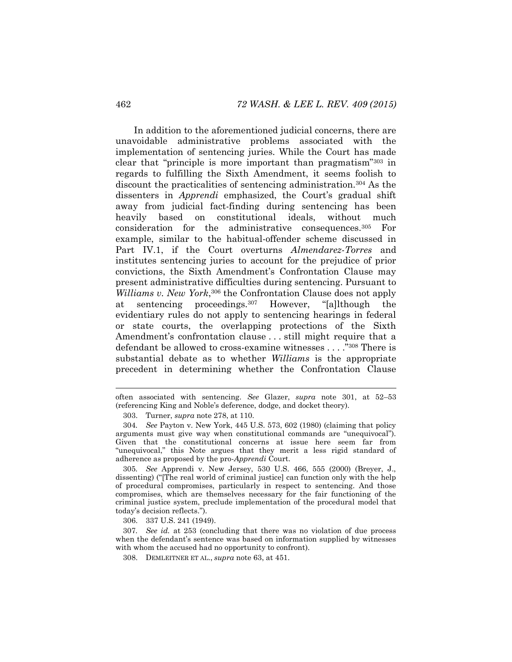In addition to the aforementioned judicial concerns, there are unavoidable administrative problems associated with the implementation of sentencing juries. While the Court has made clear that "principle is more important than pragmatism"<sup>303</sup> in regards to fulfilling the Sixth Amendment, it seems foolish to discount the practicalities of sentencing administration.<sup>304</sup> As the dissenters in *Apprendi* emphasized, the Court's gradual shift away from judicial fact-finding during sentencing has been heavily based on constitutional ideals, without much consideration for the administrative consequences.<sup>305</sup> For example, similar to the habitual-offender scheme discussed in Part IV.1, if the Court overturns *Almendarez-Torres* and institutes sentencing juries to account for the prejudice of prior convictions, the Sixth Amendment's Confrontation Clause may present administrative difficulties during sentencing. Pursuant to Williams v. New York,<sup>306</sup> the Confrontation Clause does not apply at sentencing proceedings.<sup>307</sup> However, "[a]lthough the evidentiary rules do not apply to sentencing hearings in federal or state courts, the overlapping protections of the Sixth Amendment's confrontation clause . . . still might require that a defendant be allowed to cross-examine witnesses . . . ."<sup>308</sup> There is substantial debate as to whether *Williams* is the appropriate precedent in determining whether the Confrontation Clause

305*. See* Apprendi v. New Jersey, 530 U.S. 466, 555 (2000) (Breyer, J., dissenting) ("[The real world of criminal justice] can function only with the help of procedural compromises, particularly in respect to sentencing. And those compromises, which are themselves necessary for the fair functioning of the criminal justice system, preclude implementation of the procedural model that today's decision reflects.").

306. 337 U.S. 241 (1949).

307*. See id.* at 253 (concluding that there was no violation of due process when the defendant's sentence was based on information supplied by witnesses with whom the accused had no opportunity to confront).

308. DEMLEITNER ET AL., *supra* note [63,](#page-13-0) at 451.

often associated with sentencing. *See* Glazer, *supra* note [301,](#page-53-0) at 52–53 (referencing King and Noble's deference, dodge, and docket theory).

<sup>303.</sup> Turner, *supra* not[e 278,](#page-49-0) at 110.

<sup>304</sup>*. See* Payton v. New York, 445 U.S. 573, 602 (1980) (claiming that policy arguments must give way when constitutional commands are "unequivocal"). Given that the constitutional concerns at issue here seem far from "unequivocal," this Note argues that they merit a less rigid standard of adherence as proposed by the pro-*Apprendi* Court.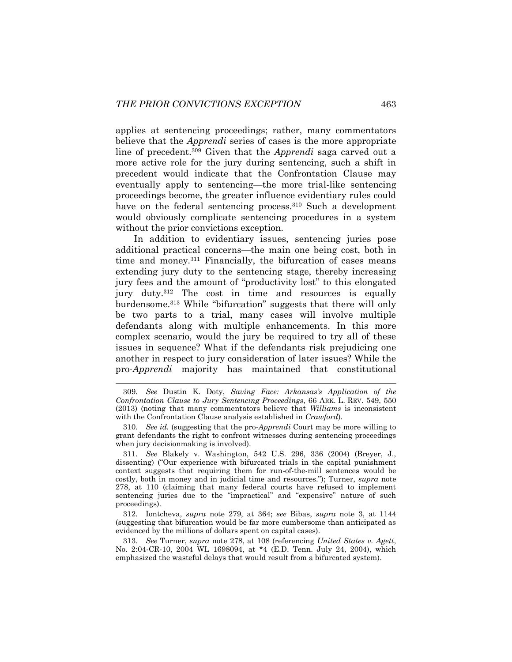applies at sentencing proceedings; rather, many commentators believe that the *Apprendi* series of cases is the more appropriate line of precedent.<sup>309</sup> Given that the *Apprendi* saga carved out a more active role for the jury during sentencing, such a shift in precedent would indicate that the Confrontation Clause may eventually apply to sentencing—the more trial-like sentencing proceedings become, the greater influence evidentiary rules could have on the federal sentencing process.<sup>310</sup> Such a development would obviously complicate sentencing procedures in a system without the prior convictions exception.

In addition to evidentiary issues, sentencing juries pose additional practical concerns—the main one being cost, both in time and money.<sup>311</sup> Financially, the bifurcation of cases means extending jury duty to the sentencing stage, thereby increasing jury fees and the amount of "productivity lost" to this elongated jury duty.<sup>312</sup> The cost in time and resources is equally burdensome.<sup>313</sup> While "bifurcation" suggests that there will only be two parts to a trial, many cases will involve multiple defendants along with multiple enhancements. In this more complex scenario, would the jury be required to try all of these issues in sequence? What if the defendants risk prejudicing one another in respect to jury consideration of later issues? While the pro-*Apprendi* majority has maintained that constitutional

312. Iontcheva, *supra* note [279,](#page-50-0) at 364; *see* Bibas, *supra* note [3,](#page-2-0) at 1144 (suggesting that bifurcation would be far more cumbersome than anticipated as evidenced by the millions of dollars spent on capital cases).

313*. See* Turner, *supra* note [278,](#page-49-0) at 108 (referencing *United States v. Agett*, No. 2:04-CR-10, 2004 WL 1698094, at \*4 (E.D. Tenn. July 24, 2004), which emphasized the wasteful delays that would result from a bifurcated system).

<sup>309</sup>*. See* Dustin K. Doty, *Saving Face: Arkansas's Application of the Confrontation Clause to Jury Sentencing Proceedings*, 66 ARK. L. REV. 549, 550 (2013) (noting that many commentators believe that *Williams* is inconsistent with the Confrontation Clause analysis established in *Crawford*).

<sup>310</sup>*. See id.* (suggesting that the pro-*Apprendi* Court may be more willing to grant defendants the right to confront witnesses during sentencing proceedings when jury decisionmaking is involved).

<sup>311</sup>*. See* Blakely v. Washington, 542 U.S. 296, 336 (2004) (Breyer, J., dissenting) ("Our experience with bifurcated trials in the capital punishment context suggests that requiring them for run-of-the-mill sentences would be costly, both in money and in judicial time and resources."); Turner, *supra* note [278,](#page-49-0) at 110 (claiming that many federal courts have refused to implement sentencing juries due to the "impractical" and "expensive" nature of such proceedings).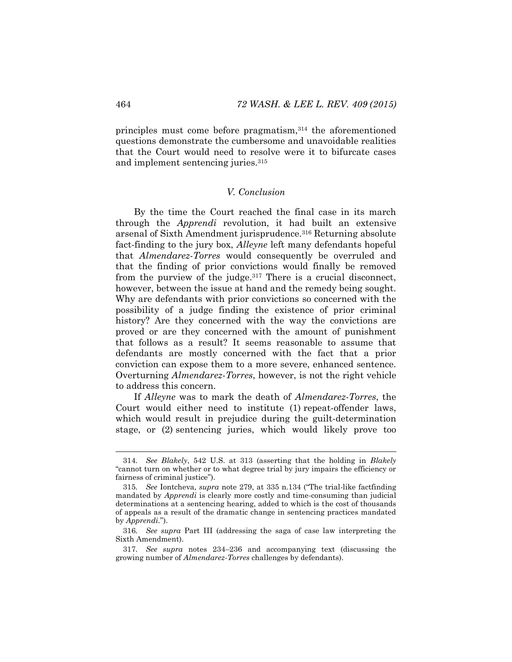principles must come before pragmatism,<sup>314</sup> the aforementioned questions demonstrate the cumbersome and unavoidable realities that the Court would need to resolve were it to bifurcate cases and implement sentencing juries.<sup>315</sup>

#### *V. Conclusion*

By the time the Court reached the final case in its march through the *Apprendi* revolution, it had built an extensive arsenal of Sixth Amendment jurisprudence.<sup>316</sup> Returning absolute fact-finding to the jury box, *Alleyne* left many defendants hopeful that *Almendarez-Torres* would consequently be overruled and that the finding of prior convictions would finally be removed from the purview of the judge. $317$  There is a crucial disconnect, however, between the issue at hand and the remedy being sought. Why are defendants with prior convictions so concerned with the possibility of a judge finding the existence of prior criminal history? Are they concerned with the way the convictions are proved or are they concerned with the amount of punishment that follows as a result? It seems reasonable to assume that defendants are mostly concerned with the fact that a prior conviction can expose them to a more severe, enhanced sentence. Overturning *Almendarez-Torres*, however, is not the right vehicle to address this concern.

If *Alleyne* was to mark the death of *Almendarez-Torres*, the Court would either need to institute (1) repeat-offender laws, which would result in prejudice during the guilt-determination stage, or (2) sentencing juries, which would likely prove too

<sup>314</sup>*. See Blakely*, 542 U.S. at 313 (asserting that the holding in *Blakely*  "cannot turn on whether or to what degree trial by jury impairs the efficiency or fairness of criminal justice").

<sup>315</sup>*. See* Iontcheva, *supra* note [279,](#page-50-0) at 335 n.134 ("The trial-like factfinding mandated by *Apprendi* is clearly more costly and time-consuming than judicial determinations at a sentencing hearing, added to which is the cost of thousands of appeals as a result of the dramatic change in sentencing practices mandated by *Apprendi.*").

<sup>316</sup>*. See supra* Part III (addressing the saga of case law interpreting the Sixth Amendment).

<sup>317</sup>*. See supra* notes [234](#page-41-0)–[236](#page-41-1) and accompanying text (discussing the growing number of *Almendarez-Torres* challenges by defendants).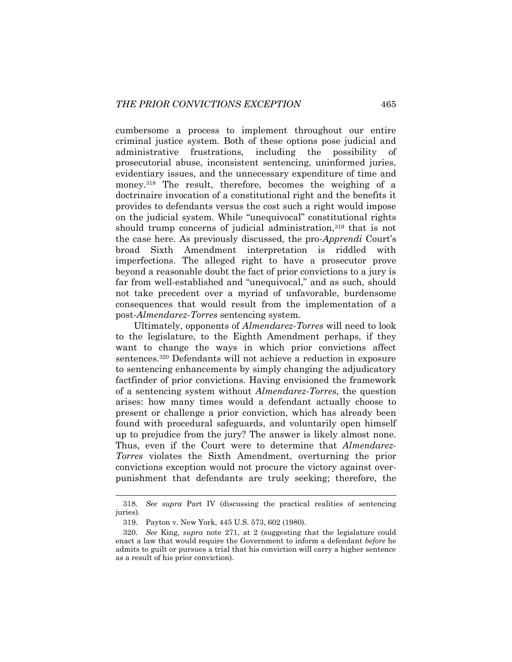cumbersome a process to implement throughout our entire criminal justice system. Both of these options pose judicial and administrative frustrations, including the possibility of prosecutorial abuse, inconsistent sentencing, uninformed juries, evidentiary issues, and the unnecessary expenditure of time and money.<sup>318</sup> The result, therefore, becomes the weighing of a doctrinaire invocation of a constitutional right and the benefits it provides to defendants versus the cost such a right would impose on the judicial system. While "unequivocal" constitutional rights should trump concerns of judicial administration,<sup>319</sup> that is not the case here. As previously discussed, the pro-*Apprendi* Court's broad Sixth Amendment interpretation is riddled with imperfections. The alleged right to have a prosecutor prove beyond a reasonable doubt the fact of prior convictions to a jury is far from well-established and "unequivocal," and as such, should not take precedent over a myriad of unfavorable, burdensome consequences that would result from the implementation of a post-*Almendarez-Torres* sentencing system.

Ultimately, opponents of *Almendarez-Torres* will need to look to the legislature, to the Eighth Amendment perhaps, if they want to change the ways in which prior convictions affect sentences.<sup>320</sup> Defendants will not achieve a reduction in exposure to sentencing enhancements by simply changing the adjudicatory factfinder of prior convictions. Having envisioned the framework of a sentencing system without *Almendarez-Torres*, the question arises: how many times would a defendant actually choose to present or challenge a prior conviction, which has already been found with procedural safeguards, and voluntarily open himself up to prejudice from the jury? The answer is likely almost none. Thus, even if the Court were to determine that *Almendarez-Torres* violates the Sixth Amendment, overturning the prior convictions exception would not procure the victory against overpunishment that defendants are truly seeking; therefore, the

<sup>318</sup>*. See supra* Part IV (discussing the practical realities of sentencing juries).

<sup>319.</sup> Payton v. New York, 445 U.S. 573, 602 (1980).

<sup>320</sup>*. See* King, *supra* note [271,](#page-48-0) at 2 (suggesting that the legislature could enact a law that would require the Government to inform a defendant *before* he admits to guilt or pursues a trial that his conviction will carry a higher sentence as a result of his prior conviction).